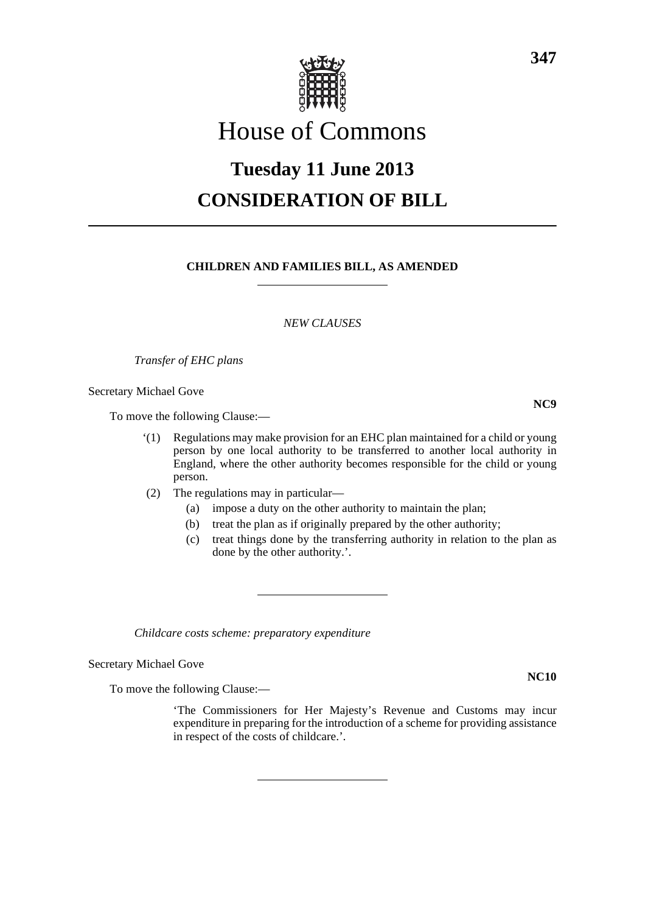

## House of Commons

# **Tuesday 11 June 2013 CONSIDERATION OF BILL**

#### **CHILDREN AND FAMILIES BILL, AS AMENDED**

*NEW CLAUSES*

*Transfer of EHC plans*

Secretary Michael Gove

To move the following Clause:—

- '(1) Regulations may make provision for an EHC plan maintained for a child or young person by one local authority to be transferred to another local authority in England, where the other authority becomes responsible for the child or young person.
- (2) The regulations may in particular—
	- (a) impose a duty on the other authority to maintain the plan;
	- (b) treat the plan as if originally prepared by the other authority;
	- (c) treat things done by the transferring authority in relation to the plan as done by the other authority.'.

*Childcare costs scheme: preparatory expenditure*

Secretary Michael Gove

To move the following Clause:—

'The Commissioners for Her Majesty's Revenue and Customs may incur expenditure in preparing for the introduction of a scheme for providing assistance in respect of the costs of childcare.'.

**NC10**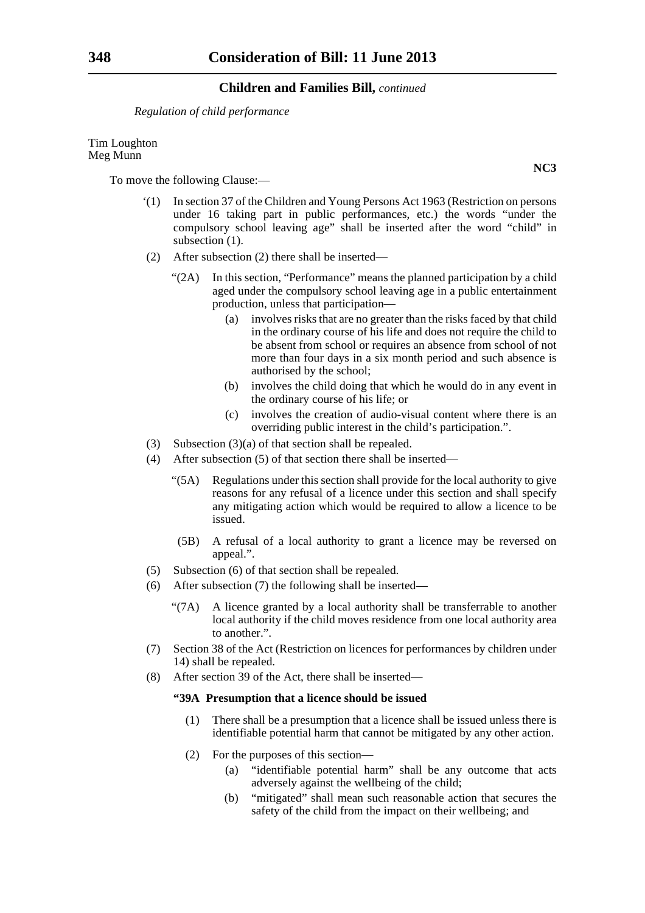*Regulation of child performance*

Tim Loughton Meg Munn

To move the following Clause:—

- '(1) In section 37 of the Children and Young Persons Act 1963 (Restriction on persons under 16 taking part in public performances, etc.) the words "under the compulsory school leaving age" shall be inserted after the word "child" in subsection  $(1)$ .
- (2) After subsection (2) there shall be inserted—
	- "(2A) In this section, "Performance" means the planned participation by a child aged under the compulsory school leaving age in a public entertainment production, unless that participation—
		- (a) involves risks that are no greater than the risks faced by that child in the ordinary course of his life and does not require the child to be absent from school or requires an absence from school of not more than four days in a six month period and such absence is authorised by the school;
		- (b) involves the child doing that which he would do in any event in the ordinary course of his life; or
		- (c) involves the creation of audio-visual content where there is an overriding public interest in the child's participation.".
- (3) Subsection (3)(a) of that section shall be repealed.
- (4) After subsection (5) of that section there shall be inserted—
	- "(5A) Regulations under this section shall provide for the local authority to give reasons for any refusal of a licence under this section and shall specify any mitigating action which would be required to allow a licence to be issued.
	- (5B) A refusal of a local authority to grant a licence may be reversed on appeal.".
- (5) Subsection (6) of that section shall be repealed.
- (6) After subsection (7) the following shall be inserted—
	- "(7A) A licence granted by a local authority shall be transferrable to another local authority if the child moves residence from one local authority area to another.".
- (7) Section 38 of the Act (Restriction on licences for performances by children under 14) shall be repealed.
- (8) After section 39 of the Act, there shall be inserted—

#### **"39A Presumption that a licence should be issued**

- (1) There shall be a presumption that a licence shall be issued unless there is identifiable potential harm that cannot be mitigated by any other action.
- (2) For the purposes of this section—
	- (a) "identifiable potential harm" shall be any outcome that acts adversely against the wellbeing of the child;
	- (b) "mitigated" shall mean such reasonable action that secures the safety of the child from the impact on their wellbeing; and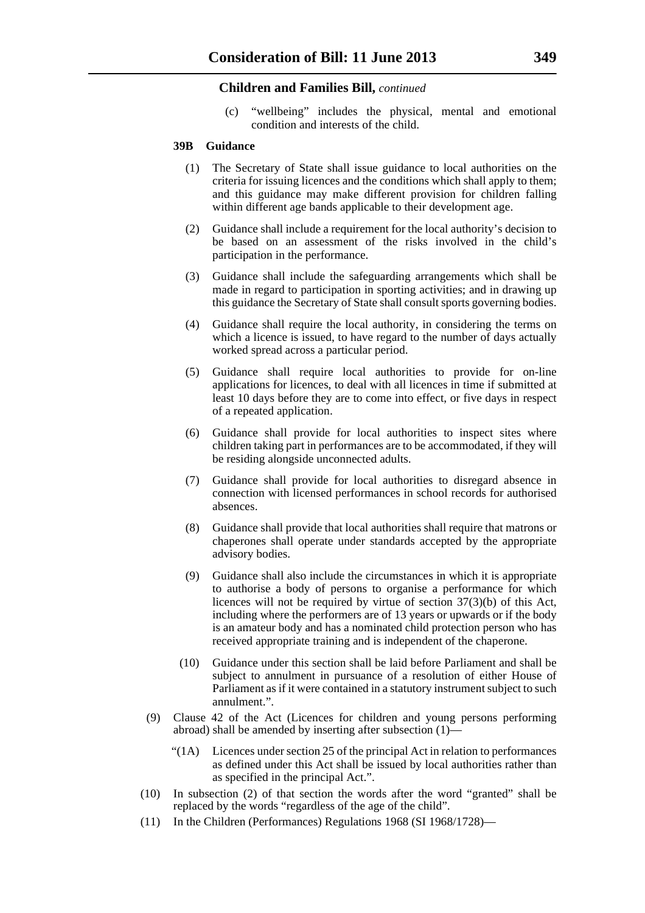(c) "wellbeing" includes the physical, mental and emotional condition and interests of the child.

#### **39B Guidance**

- (1) The Secretary of State shall issue guidance to local authorities on the criteria for issuing licences and the conditions which shall apply to them; and this guidance may make different provision for children falling within different age bands applicable to their development age.
- (2) Guidance shall include a requirement for the local authority's decision to be based on an assessment of the risks involved in the child's participation in the performance.
- (3) Guidance shall include the safeguarding arrangements which shall be made in regard to participation in sporting activities; and in drawing up this guidance the Secretary of State shall consult sports governing bodies.
- (4) Guidance shall require the local authority, in considering the terms on which a licence is issued, to have regard to the number of days actually worked spread across a particular period.
- (5) Guidance shall require local authorities to provide for on-line applications for licences, to deal with all licences in time if submitted at least 10 days before they are to come into effect, or five days in respect of a repeated application.
- (6) Guidance shall provide for local authorities to inspect sites where children taking part in performances are to be accommodated, if they will be residing alongside unconnected adults.
- (7) Guidance shall provide for local authorities to disregard absence in connection with licensed performances in school records for authorised absences.
- (8) Guidance shall provide that local authorities shall require that matrons or chaperones shall operate under standards accepted by the appropriate advisory bodies.
- (9) Guidance shall also include the circumstances in which it is appropriate to authorise a body of persons to organise a performance for which licences will not be required by virtue of section 37(3)(b) of this Act, including where the performers are of 13 years or upwards or if the body is an amateur body and has a nominated child protection person who has received appropriate training and is independent of the chaperone.
- (10) Guidance under this section shall be laid before Parliament and shall be subject to annulment in pursuance of a resolution of either House of Parliament as if it were contained in a statutory instrument subject to such annulment.".
- (9) Clause 42 of the Act (Licences for children and young persons performing abroad) shall be amended by inserting after subsection (1)—
	- "(1A) Licences under section 25 of the principal Act in relation to performances as defined under this Act shall be issued by local authorities rather than as specified in the principal Act.".
- (10) In subsection (2) of that section the words after the word "granted" shall be replaced by the words "regardless of the age of the child".
- (11) In the Children (Performances) Regulations 1968 (SI 1968/1728)—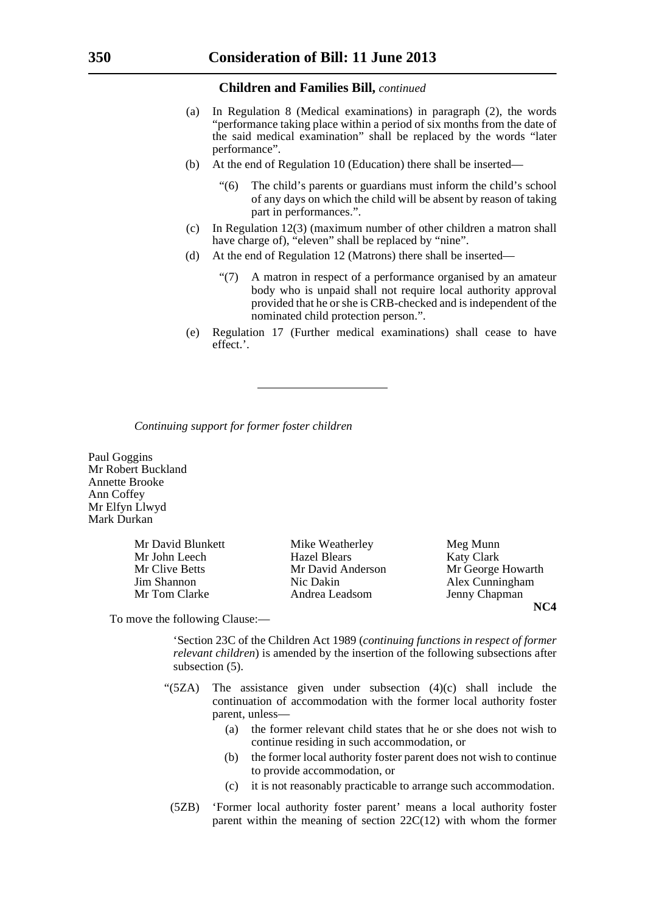- (a) In Regulation 8 (Medical examinations) in paragraph (2), the words "performance taking place within a period of six months from the date of the said medical examination" shall be replaced by the words "later performance".
- (b) At the end of Regulation 10 (Education) there shall be inserted—
	- The child's parents or guardians must inform the child's school of any days on which the child will be absent by reason of taking part in performances.".
- (c) In Regulation 12(3) (maximum number of other children a matron shall have charge of), "eleven" shall be replaced by "nine".
- (d) At the end of Regulation 12 (Matrons) there shall be inserted—
	- "(7) A matron in respect of a performance organised by an amateur body who is unpaid shall not require local authority approval provided that he or she is CRB-checked and is independent of the nominated child protection person.".
- (e) Regulation 17 (Further medical examinations) shall cease to have effect.'.

*Continuing support for former foster children*

Paul Goggins Mr Robert Buckland Annette Brooke Ann Coffey Mr Elfyn Llwyd Mark Durkan

Mr David Blunkett Mike Weatherley Meg Munn

Mr John Leech Hazel Blears Katy Clark Mr Clive Betts Mr David Anderson Mr George Howarth Jim Shannon Nic Dakin Alex Cunningham Mr Tom Clarke Andrea Leadsom Jenny Chapman

**NC4**

To move the following Clause:—

'Section 23C of the Children Act 1989 (*continuing functions in respect of former relevant children*) is amended by the insertion of the following subsections after subsection (5).

- " $(5ZA)$  The assistance given under subsection  $(4)(c)$  shall include the continuation of accommodation with the former local authority foster parent, unless—
	- (a) the former relevant child states that he or she does not wish to continue residing in such accommodation, or
	- (b) the former local authority foster parent does not wish to continue to provide accommodation, or
	- (c) it is not reasonably practicable to arrange such accommodation.
	- (5ZB) 'Former local authority foster parent' means a local authority foster parent within the meaning of section  $22C(12)$  with whom the former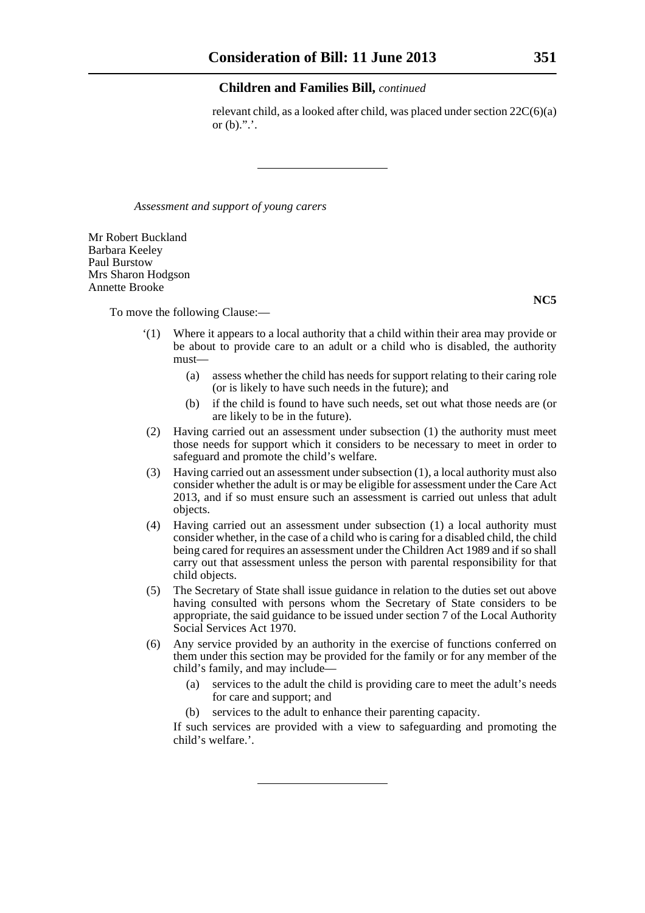relevant child, as a looked after child, was placed under section 22C(6)(a) or  $(b)$ .".'.

*Assessment and support of young carers*

Mr Robert Buckland Barbara Keeley Paul Burstow Mrs Sharon Hodgson Annette Brooke

To move the following Clause:—

- '(1) Where it appears to a local authority that a child within their area may provide or be about to provide care to an adult or a child who is disabled, the authority must—
	- (a) assess whether the child has needs for support relating to their caring role (or is likely to have such needs in the future); and
	- (b) if the child is found to have such needs, set out what those needs are (or are likely to be in the future).
- (2) Having carried out an assessment under subsection (1) the authority must meet those needs for support which it considers to be necessary to meet in order to safeguard and promote the child's welfare.
- (3) Having carried out an assessment under subsection (1), a local authority must also consider whether the adult is or may be eligible for assessment under the Care Act 2013, and if so must ensure such an assessment is carried out unless that adult objects.
- (4) Having carried out an assessment under subsection (1) a local authority must consider whether, in the case of a child who is caring for a disabled child, the child being cared for requires an assessment under the Children Act 1989 and if so shall carry out that assessment unless the person with parental responsibility for that child objects.
- (5) The Secretary of State shall issue guidance in relation to the duties set out above having consulted with persons whom the Secretary of State considers to be appropriate, the said guidance to be issued under section 7 of the Local Authority Social Services Act 1970.
- (6) Any service provided by an authority in the exercise of functions conferred on them under this section may be provided for the family or for any member of the child's family, and may include—
	- (a) services to the adult the child is providing care to meet the adult's needs for care and support; and
	- (b) services to the adult to enhance their parenting capacity.

If such services are provided with a view to safeguarding and promoting the child's welfare.'.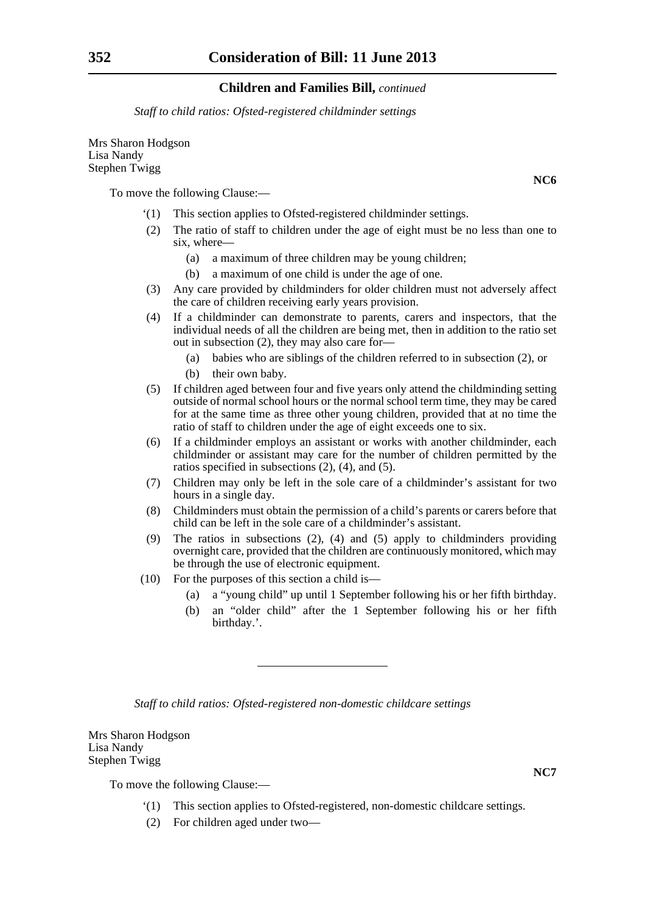*Staff to child ratios: Ofsted-registered childminder settings*

Mrs Sharon Hodgson Lisa Nandy Stephen Twigg

To move the following Clause:—

- '(1) This section applies to Ofsted-registered childminder settings.
- (2) The ratio of staff to children under the age of eight must be no less than one to six, where—
	- (a) a maximum of three children may be young children;
	- (b) a maximum of one child is under the age of one.
- (3) Any care provided by childminders for older children must not adversely affect the care of children receiving early years provision.
- (4) If a childminder can demonstrate to parents, carers and inspectors, that the individual needs of all the children are being met, then in addition to the ratio set out in subsection (2), they may also care for—
	- (a) babies who are siblings of the children referred to in subsection (2), or
	- (b) their own baby.
- (5) If children aged between four and five years only attend the childminding setting outside of normal school hours or the normal school term time, they may be cared for at the same time as three other young children, provided that at no time the ratio of staff to children under the age of eight exceeds one to six.
- (6) If a childminder employs an assistant or works with another childminder, each childminder or assistant may care for the number of children permitted by the ratios specified in subsections (2), (4), and (5).
- (7) Children may only be left in the sole care of a childminder's assistant for two hours in a single day.
- (8) Childminders must obtain the permission of a child's parents or carers before that child can be left in the sole care of a childminder's assistant.
- (9) The ratios in subsections (2), (4) and (5) apply to childminders providing overnight care, provided that the children are continuously monitored, which may be through the use of electronic equipment.
- (10) For the purposes of this section a child is—
	- (a) a "young child" up until 1 September following his or her fifth birthday.
	- (b) an "older child" after the 1 September following his or her fifth birthday.'.

*Staff to child ratios: Ofsted-registered non-domestic childcare settings*

Mrs Sharon Hodgson Lisa Nandy Stephen Twigg

To move the following Clause:—

- '(1) This section applies to Ofsted-registered, non-domestic childcare settings.
- (2) For children aged under two—

**NC7**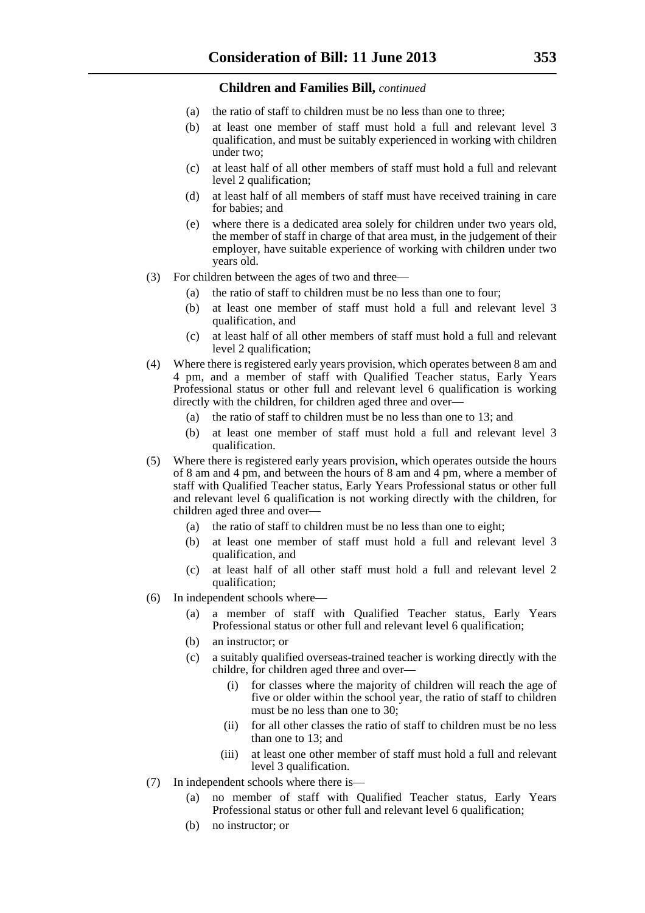- (a) the ratio of staff to children must be no less than one to three;
- (b) at least one member of staff must hold a full and relevant level 3 qualification, and must be suitably experienced in working with children under two;
- (c) at least half of all other members of staff must hold a full and relevant level 2 qualification;
- (d) at least half of all members of staff must have received training in care for babies; and
- (e) where there is a dedicated area solely for children under two years old, the member of staff in charge of that area must, in the judgement of their employer, have suitable experience of working with children under two years old.
- (3) For children between the ages of two and three—
	- (a) the ratio of staff to children must be no less than one to four;
	- (b) at least one member of staff must hold a full and relevant level 3 qualification, and
	- (c) at least half of all other members of staff must hold a full and relevant level 2 qualification;
- (4) Where there is registered early years provision, which operates between 8 am and 4 pm, and a member of staff with Qualified Teacher status, Early Years Professional status or other full and relevant level 6 qualification is working directly with the children, for children aged three and over—
	- (a) the ratio of staff to children must be no less than one to 13; and
	- (b) at least one member of staff must hold a full and relevant level 3 qualification.
- (5) Where there is registered early years provision, which operates outside the hours of 8 am and 4 pm, and between the hours of 8 am and 4 pm, where a member of staff with Qualified Teacher status, Early Years Professional status or other full and relevant level 6 qualification is not working directly with the children, for children aged three and over—
	- (a) the ratio of staff to children must be no less than one to eight;
	- (b) at least one member of staff must hold a full and relevant level 3 qualification, and
	- (c) at least half of all other staff must hold a full and relevant level 2 qualification;
- (6) In independent schools where—
	- (a) a member of staff with Qualified Teacher status, Early Years Professional status or other full and relevant level 6 qualification;
	- (b) an instructor; or
	- (c) a suitably qualified overseas-trained teacher is working directly with the childre, for children aged three and over—
		- (i) for classes where the majority of children will reach the age of five or older within the school year, the ratio of staff to children must be no less than one to 30;
		- (ii) for all other classes the ratio of staff to children must be no less than one to 13; and
		- (iii) at least one other member of staff must hold a full and relevant level 3 qualification.
- (7) In independent schools where there is—
	- (a) no member of staff with Qualified Teacher status, Early Years Professional status or other full and relevant level 6 qualification;
	- (b) no instructor; or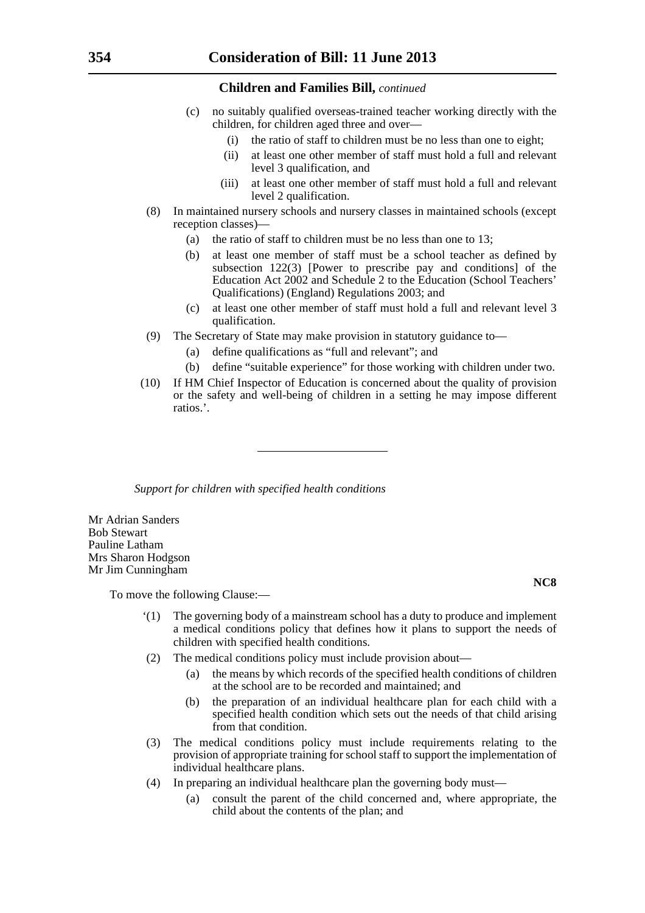- (c) no suitably qualified overseas-trained teacher working directly with the children, for children aged three and over—
	- (i) the ratio of staff to children must be no less than one to eight;
	- (ii) at least one other member of staff must hold a full and relevant level 3 qualification, and
	- (iii) at least one other member of staff must hold a full and relevant level 2 qualification.
- (8) In maintained nursery schools and nursery classes in maintained schools (except reception classes)—
	- (a) the ratio of staff to children must be no less than one to 13;
	- (b) at least one member of staff must be a school teacher as defined by subsection 122(3) [Power to prescribe pay and conditions] of the Education Act 2002 and Schedule 2 to the Education (School Teachers' Qualifications) (England) Regulations 2003; and
	- (c) at least one other member of staff must hold a full and relevant level 3 qualification.
- (9) The Secretary of State may make provision in statutory guidance to—
	- (a) define qualifications as "full and relevant"; and
	- (b) define "suitable experience" for those working with children under two.
- (10) If HM Chief Inspector of Education is concerned about the quality of provision or the safety and well-being of children in a setting he may impose different ratios.'.

*Support for children with specified health conditions*

Mr Adrian Sanders Bob Stewart Pauline Latham Mrs Sharon Hodgson Mr Jim Cunningham

To move the following Clause:—

- '(1) The governing body of a mainstream school has a duty to produce and implement a medical conditions policy that defines how it plans to support the needs of children with specified health conditions.
- (2) The medical conditions policy must include provision about—
	- (a) the means by which records of the specified health conditions of children at the school are to be recorded and maintained; and
	- (b) the preparation of an individual healthcare plan for each child with a specified health condition which sets out the needs of that child arising from that condition.
- (3) The medical conditions policy must include requirements relating to the provision of appropriate training for school staff to support the implementation of individual healthcare plans.
- (4) In preparing an individual healthcare plan the governing body must—
	- (a) consult the parent of the child concerned and, where appropriate, the child about the contents of the plan; and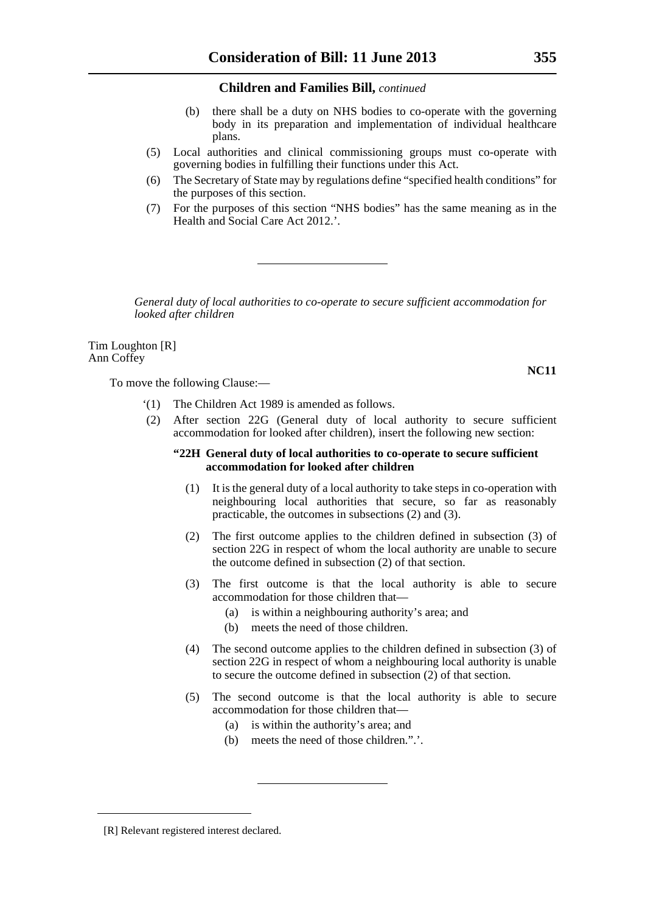- (b) there shall be a duty on NHS bodies to co-operate with the governing body in its preparation and implementation of individual healthcare plans.
- (5) Local authorities and clinical commissioning groups must co-operate with governing bodies in fulfilling their functions under this Act.
- (6) The Secretary of State may by regulations define "specified health conditions" for the purposes of this section.
- (7) For the purposes of this section "NHS bodies" has the same meaning as in the Health and Social Care Act 2012.'.

*General duty of local authorities to co-operate to secure sufficient accommodation for looked after children*

Tim Loughton [R] Ann Coffey

To move the following Clause:—

- '(1) The Children Act 1989 is amended as follows.
- (2) After section 22G (General duty of local authority to secure sufficient accommodation for looked after children), insert the following new section:

#### **"22H General duty of local authorities to co-operate to secure sufficient accommodation for looked after children**

- (1) It is the general duty of a local authority to take steps in co-operation with neighbouring local authorities that secure, so far as reasonably practicable, the outcomes in subsections (2) and (3).
- (2) The first outcome applies to the children defined in subsection (3) of section 22G in respect of whom the local authority are unable to secure the outcome defined in subsection (2) of that section.
- (3) The first outcome is that the local authority is able to secure accommodation for those children that—
	- (a) is within a neighbouring authority's area; and
	- (b) meets the need of those children.
- (4) The second outcome applies to the children defined in subsection (3) of section 22G in respect of whom a neighbouring local authority is unable to secure the outcome defined in subsection (2) of that section.
- (5) The second outcome is that the local authority is able to secure accommodation for those children that—
	- (a) is within the authority's area; and
	- (b) meets the need of those children.".'.

<sup>[</sup>R] Relevant registered interest declared.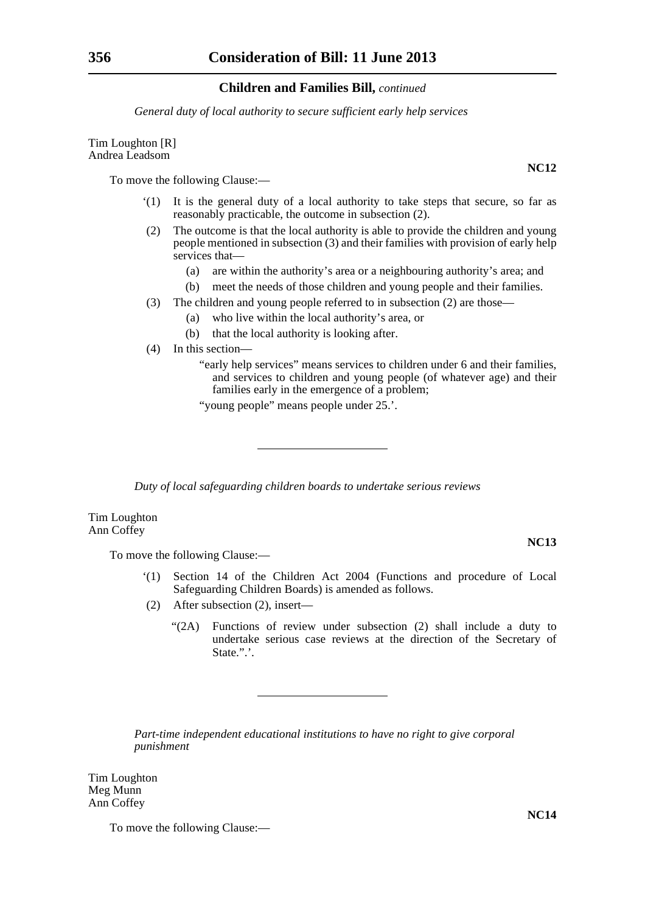*General duty of local authority to secure sufficient early help services*

Tim Loughton [R] Andrea Leadsom

To move the following Clause:—

- '(1) It is the general duty of a local authority to take steps that secure, so far as reasonably practicable, the outcome in subsection (2).
- (2) The outcome is that the local authority is able to provide the children and young people mentioned in subsection (3) and their families with provision of early help services that—
	- (a) are within the authority's area or a neighbouring authority's area; and
	- (b) meet the needs of those children and young people and their families.
- (3) The children and young people referred to in subsection (2) are those—
	- (a) who live within the local authority's area, or
	- (b) that the local authority is looking after.
- (4) In this section—
	- "early help services" means services to children under 6 and their families, and services to children and young people (of whatever age) and their families early in the emergence of a problem;

"young people" means people under 25.'.

*Duty of local safeguarding children boards to undertake serious reviews*

Tim Loughton Ann Coffey

To move the following Clause:—

- '(1) Section 14 of the Children Act 2004 (Functions and procedure of Local Safeguarding Children Boards) is amended as follows.
- (2) After subsection (2), insert—
	- "(2A) Functions of review under subsection (2) shall include a duty to undertake serious case reviews at the direction of the Secretary of State.".'.

*Part-time independent educational institutions to have no right to give corporal punishment*

Tim Loughton Meg Munn Ann Coffey

To move the following Clause:—

**NC12**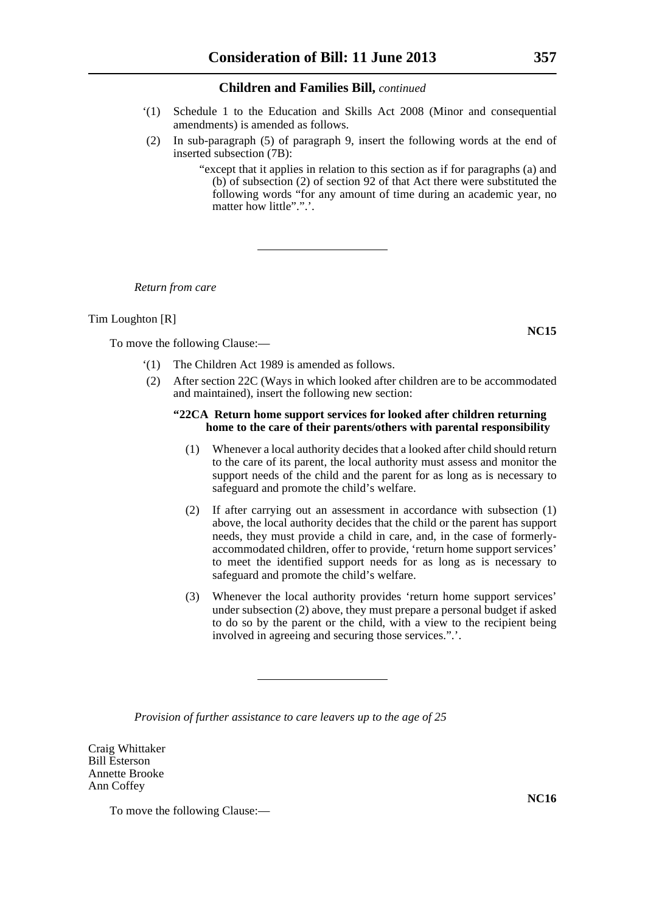- '(1) Schedule 1 to the Education and Skills Act 2008 (Minor and consequential amendments) is amended as follows.
- (2) In sub-paragraph (5) of paragraph 9, insert the following words at the end of inserted subsection (7B):

"except that it applies in relation to this section as if for paragraphs (a) and (b) of subsection (2) of section 92 of that Act there were substituted the following words "for any amount of time during an academic year, no matter how little".".'.

*Return from care*

#### Tim Loughton [R]

To move the following Clause:—

- '(1) The Children Act 1989 is amended as follows.
- (2) After section 22C (Ways in which looked after children are to be accommodated and maintained), insert the following new section:

#### **"22CA Return home support services for looked after children returning home to the care of their parents/others with parental responsibility**

- (1) Whenever a local authority decides that a looked after child should return to the care of its parent, the local authority must assess and monitor the support needs of the child and the parent for as long as is necessary to safeguard and promote the child's welfare.
- (2) If after carrying out an assessment in accordance with subsection (1) above, the local authority decides that the child or the parent has support needs, they must provide a child in care, and, in the case of formerlyaccommodated children, offer to provide, 'return home support services' to meet the identified support needs for as long as is necessary to safeguard and promote the child's welfare.
- (3) Whenever the local authority provides 'return home support services' under subsection (2) above, they must prepare a personal budget if asked to do so by the parent or the child, with a view to the recipient being involved in agreeing and securing those services.".'.

*Provision of further assistance to care leavers up to the age of 25*

Craig Whittaker Bill Esterson Annette Brooke Ann Coffey

To move the following Clause:—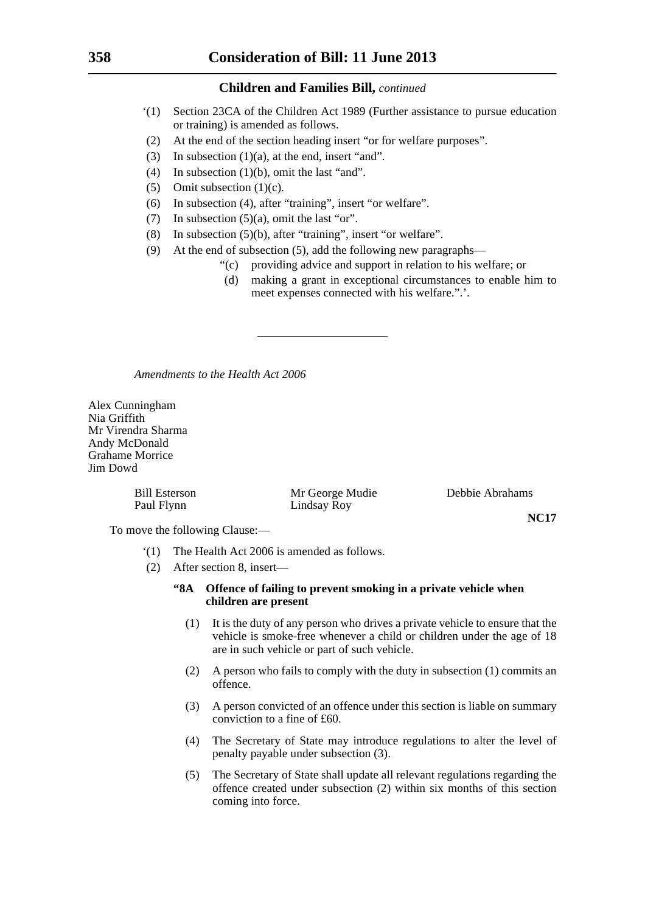- '(1) Section 23CA of the Children Act 1989 (Further assistance to pursue education or training) is amended as follows.
- (2) At the end of the section heading insert "or for welfare purposes".
- (3) In subsection  $(1)(a)$ , at the end, insert "and".
- (4) In subsection (1)(b), omit the last "and".
- (5) Omit subsection (1)(c).
- (6) In subsection (4), after "training", insert "or welfare".
- (7) In subsection  $(5)(a)$ , omit the last "or".
- (8) In subsection (5)(b), after "training", insert "or welfare".
- (9) At the end of subsection (5), add the following new paragraphs—
	- "(c) providing advice and support in relation to his welfare; or
		- (d) making a grant in exceptional circumstances to enable him to meet expenses connected with his welfare.".'.

*Amendments to the Health Act 2006*

Alex Cunningham Nia Griffith Mr Virendra Sharma Andy McDonald Grahame Morrice Jim Dowd

> Bill Esterson Mr George Mudie Debbie Abrahams Paul Flynn Lindsay Roy

To move the following Clause:—

- '(1) The Health Act 2006 is amended as follows.
- (2) After section 8, insert—
	- **"8A Offence of failing to prevent smoking in a private vehicle when children are present**
		- (1) It is the duty of any person who drives a private vehicle to ensure that the vehicle is smoke-free whenever a child or children under the age of 18 are in such vehicle or part of such vehicle.

- (2) A person who fails to comply with the duty in subsection (1) commits an offence.
- (3) A person convicted of an offence under this section is liable on summary conviction to a fine of £60.
- (4) The Secretary of State may introduce regulations to alter the level of penalty payable under subsection (3).
- (5) The Secretary of State shall update all relevant regulations regarding the offence created under subsection (2) within six months of this section coming into force.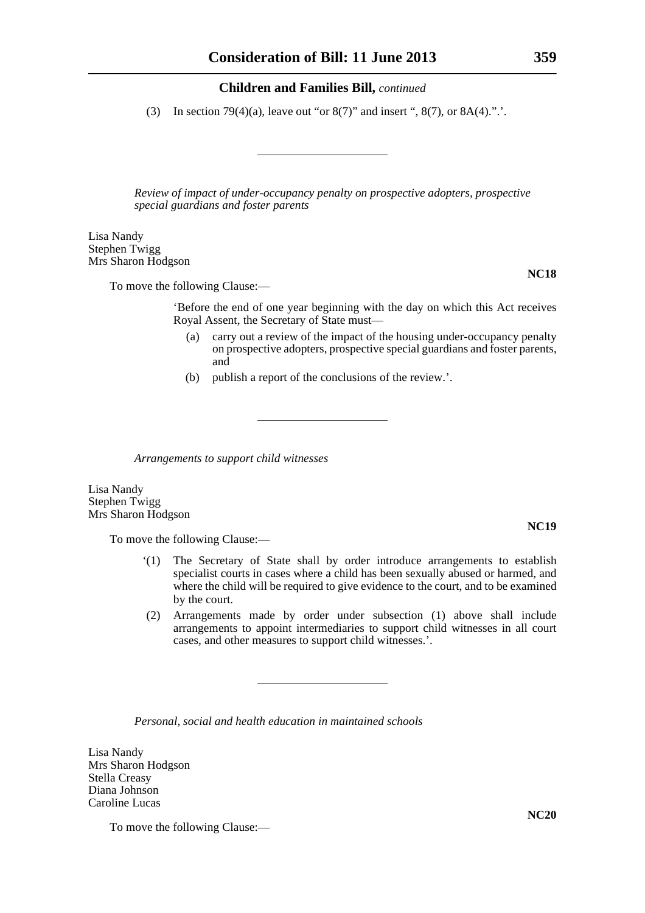(3) In section 79(4)(a), leave out "or 8(7)" and insert ", 8(7), or  $8A(4)$ .".'.

*Review of impact of under-occupancy penalty on prospective adopters, prospective special guardians and foster parents*

Lisa Nandy Stephen Twigg Mrs Sharon Hodgson

To move the following Clause:—

'Before the end of one year beginning with the day on which this Act receives Royal Assent, the Secretary of State must—

- (a) carry out a review of the impact of the housing under-occupancy penalty on prospective adopters, prospective special guardians and foster parents, and
- (b) publish a report of the conclusions of the review.'.

*Arrangements to support child witnesses*

Lisa Nandy Stephen Twigg Mrs Sharon Hodgson

To move the following Clause:—

- '(1) The Secretary of State shall by order introduce arrangements to establish specialist courts in cases where a child has been sexually abused or harmed, and where the child will be required to give evidence to the court, and to be examined by the court.
- (2) Arrangements made by order under subsection (1) above shall include arrangements to appoint intermediaries to support child witnesses in all court cases, and other measures to support child witnesses.'.

*Personal, social and health education in maintained schools*

Lisa Nandy Mrs Sharon Hodgson Stella Creasy Diana Johnson Caroline Lucas

To move the following Clause:—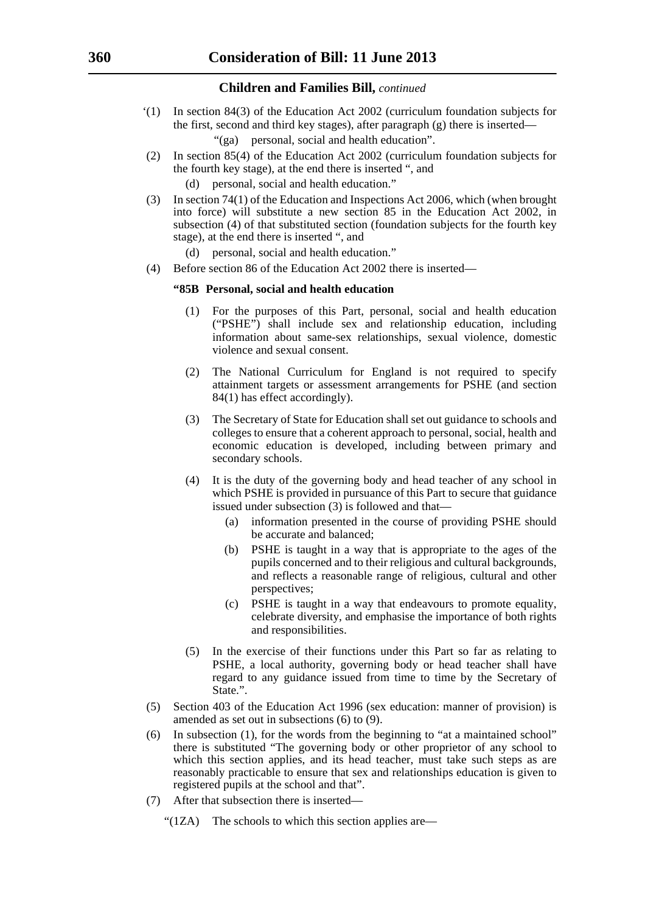- '(1) In section 84(3) of the Education Act 2002 (curriculum foundation subjects for the first, second and third key stages), after paragraph (g) there is inserted—
	- "(ga) personal, social and health education".
- (2) In section 85(4) of the Education Act 2002 (curriculum foundation subjects for the fourth key stage), at the end there is inserted ", and
	- (d) personal, social and health education."
- (3) In section 74(1) of the Education and Inspections Act 2006, which (when brought into force) will substitute a new section 85 in the Education Act 2002, in subsection (4) of that substituted section (foundation subjects for the fourth key stage), at the end there is inserted ", and
	- (d) personal, social and health education."
- (4) Before section 86 of the Education Act 2002 there is inserted—

#### **"85B Personal, social and health education**

- (1) For the purposes of this Part, personal, social and health education ("PSHE") shall include sex and relationship education, including information about same-sex relationships, sexual violence, domestic violence and sexual consent.
- (2) The National Curriculum for England is not required to specify attainment targets or assessment arrangements for PSHE (and section 84(1) has effect accordingly).
- (3) The Secretary of State for Education shall set out guidance to schools and colleges to ensure that a coherent approach to personal, social, health and economic education is developed, including between primary and secondary schools.
- (4) It is the duty of the governing body and head teacher of any school in which PSHE is provided in pursuance of this Part to secure that guidance issued under subsection  $(3)$  is followed and that—
	- (a) information presented in the course of providing PSHE should be accurate and balanced;
	- (b) PSHE is taught in a way that is appropriate to the ages of the pupils concerned and to their religious and cultural backgrounds, and reflects a reasonable range of religious, cultural and other perspectives;
	- (c) PSHE is taught in a way that endeavours to promote equality, celebrate diversity, and emphasise the importance of both rights and responsibilities.
- (5) In the exercise of their functions under this Part so far as relating to PSHE, a local authority, governing body or head teacher shall have regard to any guidance issued from time to time by the Secretary of State.".
- (5) Section 403 of the Education Act 1996 (sex education: manner of provision) is amended as set out in subsections (6) to (9).
- (6) In subsection (1), for the words from the beginning to "at a maintained school" there is substituted "The governing body or other proprietor of any school to which this section applies, and its head teacher, must take such steps as are reasonably practicable to ensure that sex and relationships education is given to registered pupils at the school and that".
- (7) After that subsection there is inserted—
	- " $(1ZA)$  The schools to which this section applies are—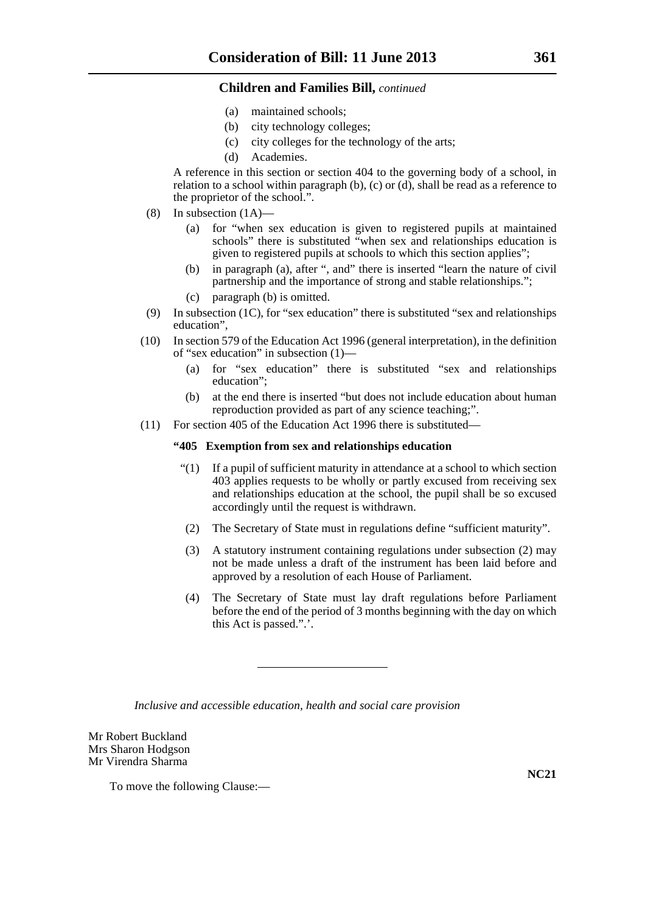- (a) maintained schools;
- (b) city technology colleges;
- (c) city colleges for the technology of the arts;
- (d) Academies.

A reference in this section or section 404 to the governing body of a school, in relation to a school within paragraph (b), (c) or (d), shall be read as a reference to the proprietor of the school.".

- (8) In subsection (1A)—
	- (a) for "when sex education is given to registered pupils at maintained schools" there is substituted "when sex and relationships education is given to registered pupils at schools to which this section applies";
	- (b) in paragraph (a), after ", and" there is inserted "learn the nature of civil partnership and the importance of strong and stable relationships.";
	- (c) paragraph (b) is omitted.
- (9) In subsection (1C), for "sex education" there is substituted "sex and relationships education",
- (10) In section 579 of the Education Act 1996 (general interpretation), in the definition of "sex education" in subsection (1)—
	- (a) for "sex education" there is substituted "sex and relationships education";
	- (b) at the end there is inserted "but does not include education about human reproduction provided as part of any science teaching;".
- (11) For section 405 of the Education Act 1996 there is substituted—

## **"405 Exemption from sex and relationships education**

- "(1) If a pupil of sufficient maturity in attendance at a school to which section 403 applies requests to be wholly or partly excused from receiving sex and relationships education at the school, the pupil shall be so excused accordingly until the request is withdrawn.
- (2) The Secretary of State must in regulations define "sufficient maturity".
- (3) A statutory instrument containing regulations under subsection (2) may not be made unless a draft of the instrument has been laid before and approved by a resolution of each House of Parliament.
- (4) The Secretary of State must lay draft regulations before Parliament before the end of the period of 3 months beginning with the day on which this Act is passed.".'.

*Inclusive and accessible education, health and social care provision*

Mr Robert Buckland Mrs Sharon Hodgson Mr Virendra Sharma

To move the following Clause:—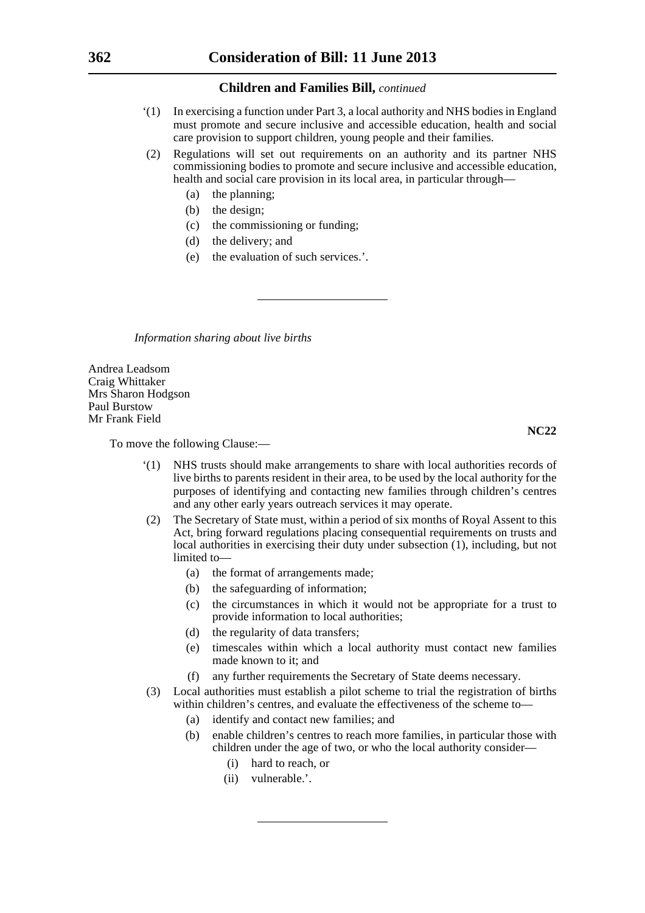- '(1) In exercising a function under Part 3, a local authority and NHS bodies in England must promote and secure inclusive and accessible education, health and social care provision to support children, young people and their families.
- (2) Regulations will set out requirements on an authority and its partner NHS commissioning bodies to promote and secure inclusive and accessible education, health and social care provision in its local area, in particular through—
	- (a) the planning;
	- (b) the design;
	- (c) the commissioning or funding;
	- (d) the delivery; and
	- (e) the evaluation of such services.'.

*Information sharing about live births*

Andrea Leadsom Craig Whittaker Mrs Sharon Hodgson Paul Burstow Mr Frank Field

**NC22**

To move the following Clause:—

- '(1) NHS trusts should make arrangements to share with local authorities records of live births to parents resident in their area, to be used by the local authority for the purposes of identifying and contacting new families through children's centres and any other early years outreach services it may operate.
- (2) The Secretary of State must, within a period of six months of Royal Assent to this Act, bring forward regulations placing consequential requirements on trusts and local authorities in exercising their duty under subsection (1), including, but not limited to-
	- (a) the format of arrangements made;
	- (b) the safeguarding of information;
	- (c) the circumstances in which it would not be appropriate for a trust to provide information to local authorities;
	- (d) the regularity of data transfers;
	- (e) timescales within which a local authority must contact new families made known to it; and
	- (f) any further requirements the Secretary of State deems necessary.
- (3) Local authorities must establish a pilot scheme to trial the registration of births within children's centres, and evaluate the effectiveness of the scheme to—
	- (a) identify and contact new families; and
	- (b) enable children's centres to reach more families, in particular those with children under the age of two, or who the local authority consider—
		- (i) hard to reach, or
		- (ii) vulnerable.'.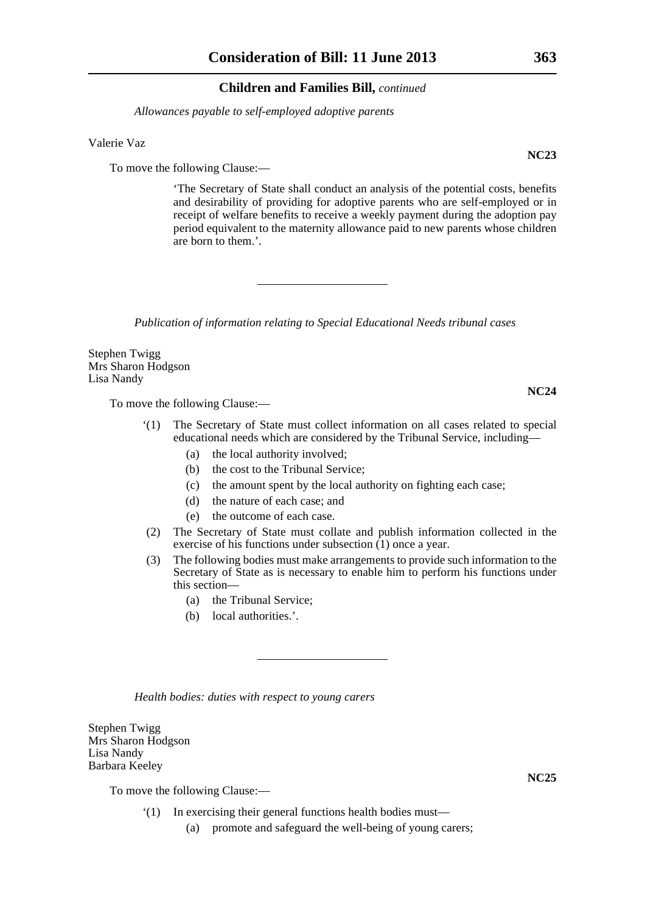*Allowances payable to self-employed adoptive parents*

Valerie Vaz

To move the following Clause:—

'The Secretary of State shall conduct an analysis of the potential costs, benefits and desirability of providing for adoptive parents who are self-employed or in receipt of welfare benefits to receive a weekly payment during the adoption pay period equivalent to the maternity allowance paid to new parents whose children are born to them.'.

*Publication of information relating to Special Educational Needs tribunal cases*

Stephen Twigg Mrs Sharon Hodgson Lisa Nandy

To move the following Clause:—

- '(1) The Secretary of State must collect information on all cases related to special educational needs which are considered by the Tribunal Service, including—
	- (a) the local authority involved;
	- (b) the cost to the Tribunal Service;
	- (c) the amount spent by the local authority on fighting each case;
	- (d) the nature of each case; and
	- (e) the outcome of each case.
- (2) The Secretary of State must collate and publish information collected in the exercise of his functions under subsection (1) once a year.
- (3) The following bodies must make arrangements to provide such information to the Secretary of State as is necessary to enable him to perform his functions under this section—
	- (a) the Tribunal Service;
	- (b) local authorities.'.

*Health bodies: duties with respect to young carers*

Stephen Twigg Mrs Sharon Hodgson Lisa Nandy Barbara Keeley

To move the following Clause:—

- '(1) In exercising their general functions health bodies must—
	- (a) promote and safeguard the well-being of young carers;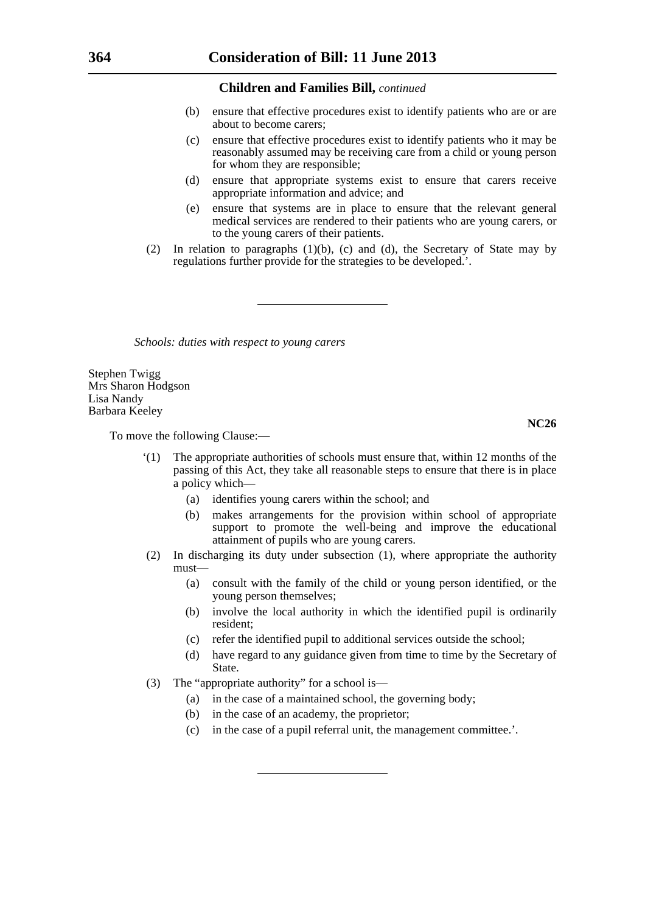- (b) ensure that effective procedures exist to identify patients who are or are about to become carers;
- (c) ensure that effective procedures exist to identify patients who it may be reasonably assumed may be receiving care from a child or young person for whom they are responsible;
- (d) ensure that appropriate systems exist to ensure that carers receive appropriate information and advice; and
- (e) ensure that systems are in place to ensure that the relevant general medical services are rendered to their patients who are young carers, or to the young carers of their patients.
- (2) In relation to paragraphs (1)(b), (c) and (d), the Secretary of State may by regulations further provide for the strategies to be developed.'.

*Schools: duties with respect to young carers*

Stephen Twigg Mrs Sharon Hodgson Lisa Nandy Barbara Keeley

To move the following Clause:—

- '(1) The appropriate authorities of schools must ensure that, within 12 months of the passing of this Act, they take all reasonable steps to ensure that there is in place a policy which—
	- (a) identifies young carers within the school; and
	- (b) makes arrangements for the provision within school of appropriate support to promote the well-being and improve the educational attainment of pupils who are young carers.
- (2) In discharging its duty under subsection (1), where appropriate the authority must—
	- (a) consult with the family of the child or young person identified, or the young person themselves;
	- (b) involve the local authority in which the identified pupil is ordinarily resident;
	- (c) refer the identified pupil to additional services outside the school;
	- (d) have regard to any guidance given from time to time by the Secretary of State.
- (3) The "appropriate authority" for a school is—
	- (a) in the case of a maintained school, the governing body;
	- (b) in the case of an academy, the proprietor;
	- (c) in the case of a pupil referral unit, the management committee.'.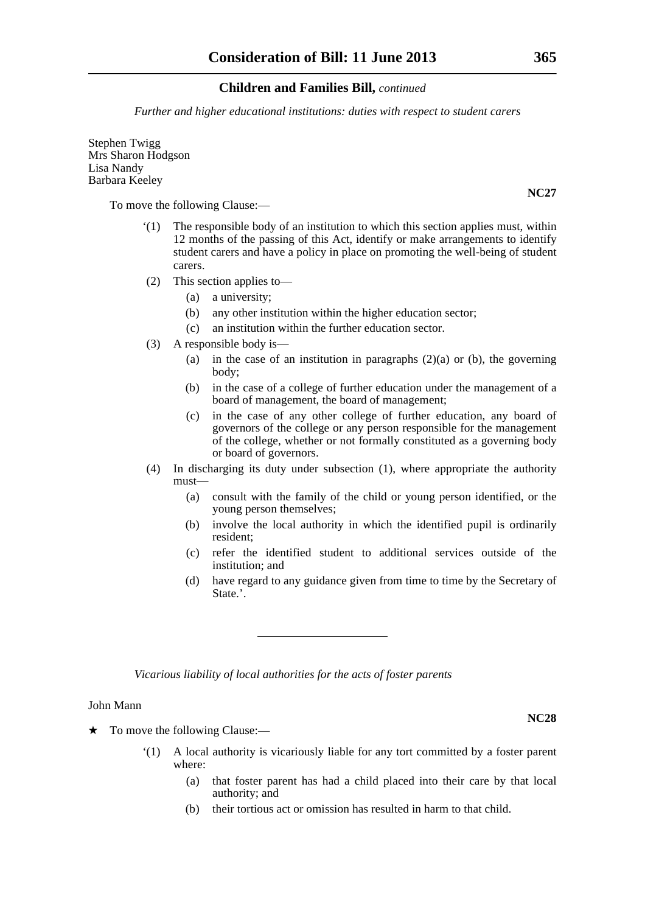*Further and higher educational institutions: duties with respect to student carers*

Stephen Twigg Mrs Sharon Hodgson Lisa Nandy Barbara Keeley

To move the following Clause:—

- '(1) The responsible body of an institution to which this section applies must, within 12 months of the passing of this Act, identify or make arrangements to identify student carers and have a policy in place on promoting the well-being of student carers.
- (2) This section applies to—
	- (a) a university;
	- (b) any other institution within the higher education sector;
	- (c) an institution within the further education sector.
- (3) A responsible body is—
	- (a) in the case of an institution in paragraphs  $(2)(a)$  or (b), the governing body;
	- (b) in the case of a college of further education under the management of a board of management, the board of management;
	- (c) in the case of any other college of further education, any board of governors of the college or any person responsible for the management of the college, whether or not formally constituted as a governing body or board of governors.
- (4) In discharging its duty under subsection (1), where appropriate the authority must—
	- (a) consult with the family of the child or young person identified, or the young person themselves;
	- (b) involve the local authority in which the identified pupil is ordinarily resident;
	- (c) refer the identified student to additional services outside of the institution; and
	- (d) have regard to any guidance given from time to time by the Secretary of State.'.

*Vicarious liability of local authorities for the acts of foster parents*

#### John Mann

 $\star$  To move the following Clause:—

- '(1) A local authority is vicariously liable for any tort committed by a foster parent where:
	- (a) that foster parent has had a child placed into their care by that local authority; and
	- (b) their tortious act or omission has resulted in harm to that child.

**NC28**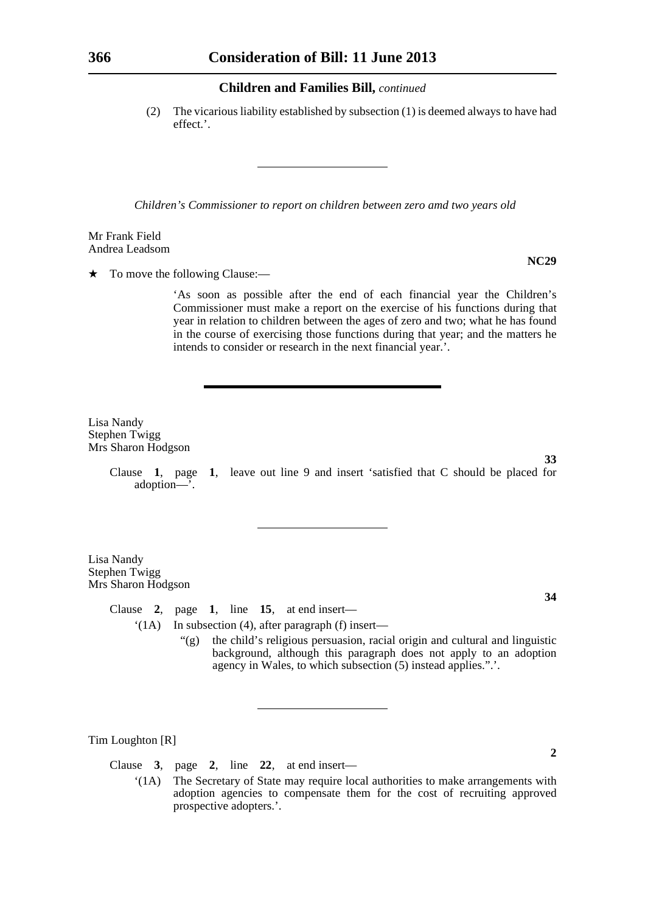(2) The vicarious liability established by subsection (1) is deemed always to have had effect.'.

*Children's Commissioner to report on children between zero amd two years old*

Mr Frank Field Andrea Leadsom

 $\star$  To move the following Clause:—

'As soon as possible after the end of each financial year the Children's Commissioner must make a report on the exercise of his functions during that year in relation to children between the ages of zero and two; what he has found in the course of exercising those functions during that year; and the matters he intends to consider or research in the next financial year.'.

Lisa Nandy Stephen Twigg Mrs Sharon Hodgson

> Clause **1**, page **1**, leave out line 9 and insert 'satisfied that C should be placed for adoption—'.

Lisa Nandy Stephen Twigg Mrs Sharon Hodgson

Clause **2**, page **1**, line **15**, at end insert—

'(1A) In subsection (4), after paragraph (f) insert—

"(g) the child's religious persuasion, racial origin and cultural and linguistic background, although this paragraph does not apply to an adoption agency in Wales, to which subsection (5) instead applies.".'.

Tim Loughton [R]

Clause **3**, page **2**, line **22**, at end insert—

'(1A) The Secretary of State may require local authorities to make arrangements with adoption agencies to compensate them for the cost of recruiting approved prospective adopters.'.

**NC29**

**34**

**2**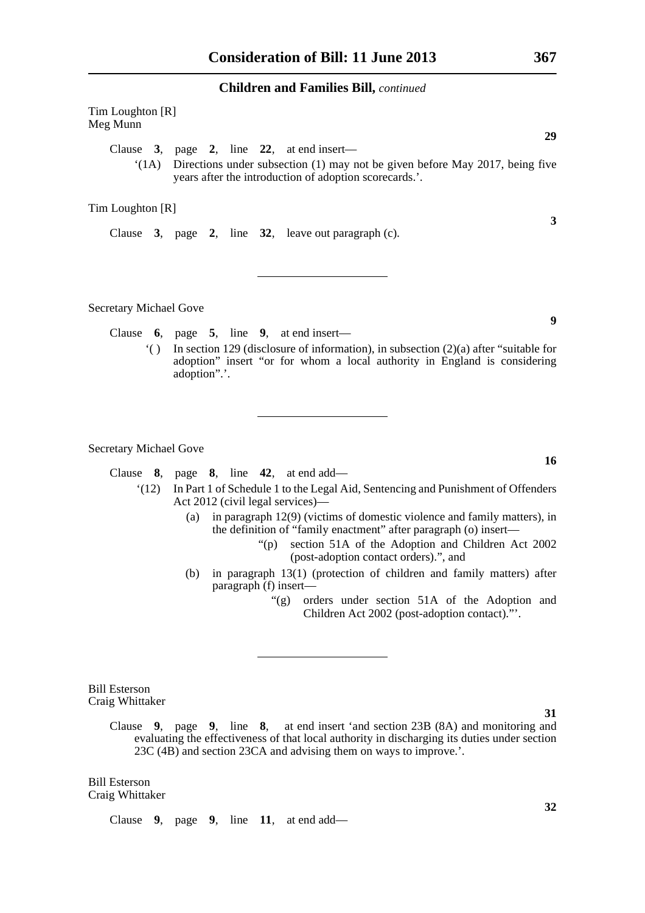Tim Loughton [R] Meg Munn **29** Clause **3**, page **2**, line **22**, at end insert— '(1A) Directions under subsection (1) may not be given before May 2017, being five years after the introduction of adoption scorecards.'.

Tim Loughton [R]

Clause **3**, page **2**, line **32**, leave out paragraph (c).

Secretary Michael Gove

Clause **6**, page **5**, line **9**, at end insert—

'( ) In section 129 (disclosure of information), in subsection (2)(a) after "suitable for adoption" insert "or for whom a local authority in England is considering adoption".'.

Secretary Michael Gove

Clause **8**, page **8**, line **42**, at end add—

- '(12) In Part 1 of Schedule 1 to the Legal Aid, Sentencing and Punishment of Offenders Act 2012 (civil legal services)—
	- (a) in paragraph 12(9) (victims of domestic violence and family matters), in the definition of "family enactment" after paragraph (o) insert—
		- "(p) section 51A of the Adoption and Children Act 2002 (post-adoption contact orders).", and
	- (b) in paragraph 13(1) (protection of children and family matters) after paragraph (f) insert—
		- "(g) orders under section 51A of the Adoption and Children Act 2002 (post-adoption contact)."'.

Bill Esterson Craig Whittaker

> Clause **9**, page **9**, line **8**, at end insert 'and section 23B (8A) and monitoring and evaluating the effectiveness of that local authority in discharging its duties under section 23C (4B) and section 23CA and advising them on ways to improve.'.

Bill Esterson Craig Whittaker

Clause **9**, page **9**, line **11**, at end add—

**3**

**9**

**16**

**31**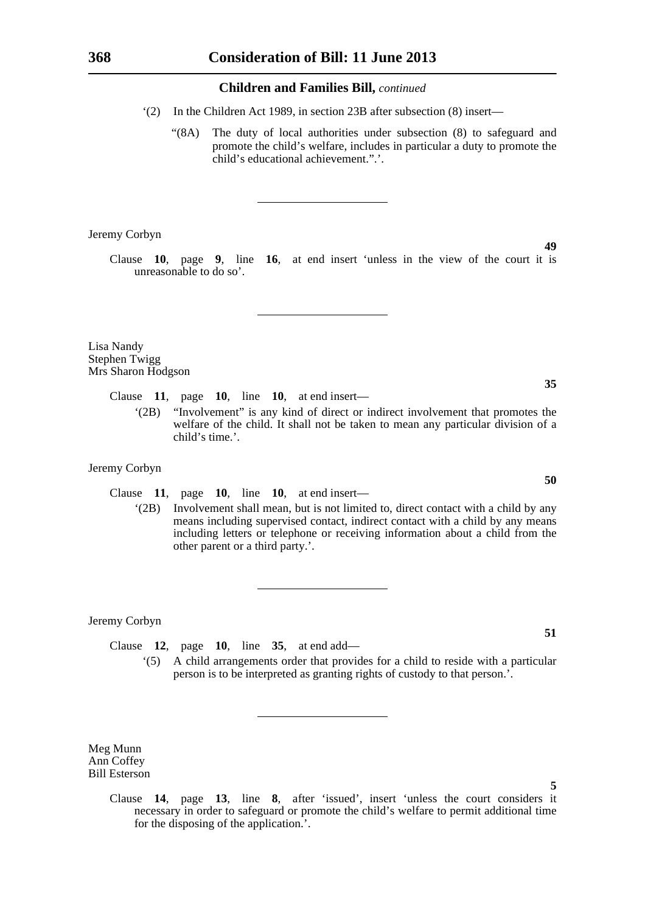- '(2) In the Children Act 1989, in section 23B after subsection (8) insert—
	- "(8A) The duty of local authorities under subsection (8) to safeguard and promote the child's welfare, includes in particular a duty to promote the child's educational achievement.".'.

Jeremy Corbyn

Clause **10**, page **9**, line **16**, at end insert 'unless in the view of the court it is unreasonable to do so'.

Lisa Nandy Stephen Twigg Mrs Sharon Hodgson

Clause **11**, page **10**, line **10**, at end insert—

'(2B) "Involvement" is any kind of direct or indirect involvement that promotes the welfare of the child. It shall not be taken to mean any particular division of a child's time.'.

#### Jeremy Corbyn

Clause **11**, page **10**, line **10**, at end insert—

'(2B) Involvement shall mean, but is not limited to, direct contact with a child by any means including supervised contact, indirect contact with a child by any means including letters or telephone or receiving information about a child from the other parent or a third party.'.

Jeremy Corbyn

Clause **12**, page **10**, line **35**, at end add— '(5) A child arrangements order that provides for a child to reside with a particular person is to be interpreted as granting rights of custody to that person.'.

Meg Munn Ann Coffey Bill Esterson

> Clause **14**, page **13**, line **8**, after 'issued', insert 'unless the court considers it necessary in order to safeguard or promote the child's welfare to permit additional time for the disposing of the application.'.

**49**

**50**

**35**

**51**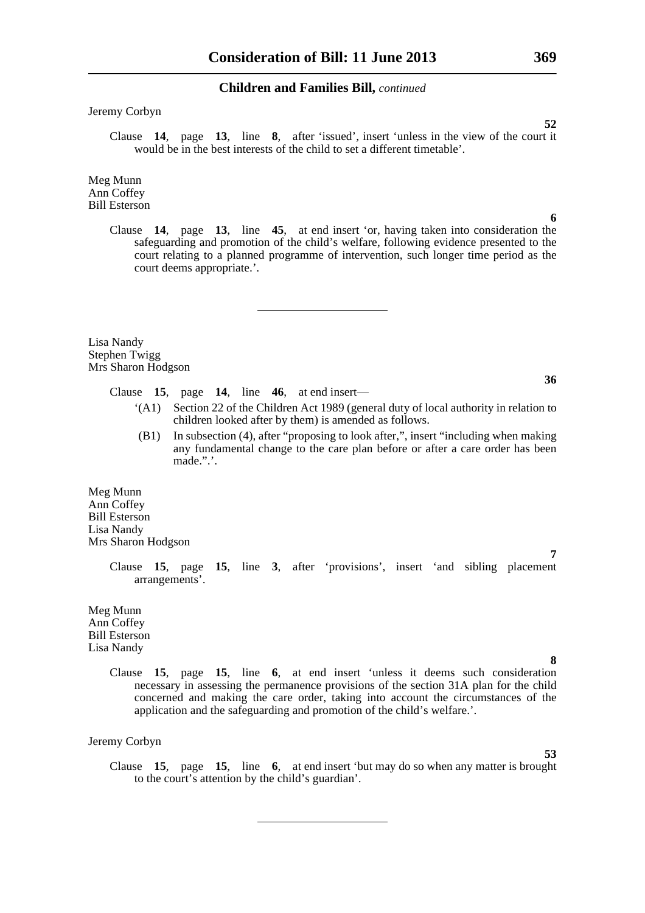Jeremy Corbyn

Clause **14**, page **13**, line **8**, after 'issued', insert 'unless in the view of the court it would be in the best interests of the child to set a different timetable'.

Meg Munn Ann Coffey Bill Esterson

> Clause **14**, page **13**, line **45**, at end insert 'or, having taken into consideration the safeguarding and promotion of the child's welfare, following evidence presented to the court relating to a planned programme of intervention, such longer time period as the court deems appropriate.'.

Lisa Nandy Stephen Twigg Mrs Sharon Hodgson

Clause **15**, page **14**, line **46**, at end insert—

- '(A1) Section 22 of the Children Act 1989 (general duty of local authority in relation to children looked after by them) is amended as follows.
- (B1) In subsection (4), after "proposing to look after,", insert "including when making any fundamental change to the care plan before or after a care order has been made.".'.

Meg Munn Ann Coffey Bill Esterson Lisa Nandy Mrs Sharon Hodgson

> Clause **15**, page **15**, line **3**, after 'provisions', insert 'and sibling placement arrangements'.

Meg Munn Ann Coffey Bill Esterson Lisa Nandy

> Clause **15**, page **15**, line **6**, at end insert 'unless it deems such consideration necessary in assessing the permanence provisions of the section 31A plan for the child concerned and making the care order, taking into account the circumstances of the application and the safeguarding and promotion of the child's welfare.'.

Jeremy Corbyn

Clause **15**, page **15**, line **6**, at end insert 'but may do so when any matter is brought to the court's attention by the child's guardian'.

**6**

**52**

**36**

**53**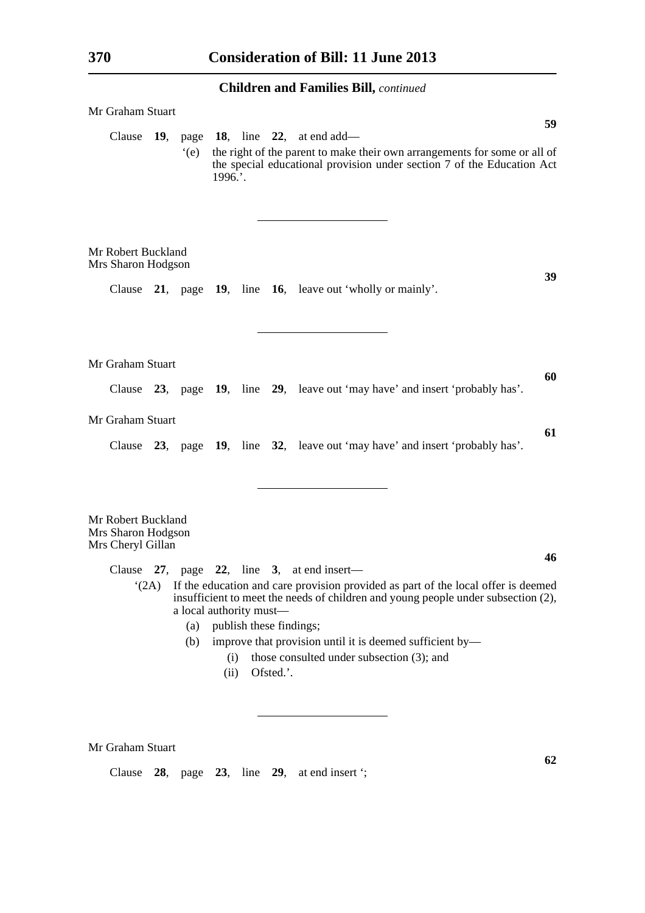| Mr Graham Stuart                                              |     |                                       |             |                         |           |                                                                                                                                                                                                                                                                                        |  |    |
|---------------------------------------------------------------|-----|---------------------------------------|-------------|-------------------------|-----------|----------------------------------------------------------------------------------------------------------------------------------------------------------------------------------------------------------------------------------------------------------------------------------------|--|----|
| Clause                                                        | 19, | page<br>(e)                           | $1996.$ .   |                         |           | 18, line 22, at end add—<br>the right of the parent to make their own arrangements for some or all of<br>the special educational provision under section 7 of the Education Act                                                                                                        |  | 59 |
| Mr Robert Buckland<br>Mrs Sharon Hodgson                      |     |                                       |             |                         |           |                                                                                                                                                                                                                                                                                        |  |    |
|                                                               |     |                                       |             |                         |           | Clause 21, page 19, line 16, leave out 'wholly or mainly'.                                                                                                                                                                                                                             |  | 39 |
| Mr Graham Stuart                                              |     |                                       |             |                         |           |                                                                                                                                                                                                                                                                                        |  |    |
|                                                               |     |                                       |             |                         |           | Clause 23, page 19, line 29, leave out 'may have' and insert 'probably has'.                                                                                                                                                                                                           |  | 60 |
| Mr Graham Stuart                                              |     |                                       |             |                         |           |                                                                                                                                                                                                                                                                                        |  | 61 |
|                                                               |     |                                       |             |                         |           | Clause 23, page 19, line 32, leave out 'may have' and insert 'probably has'.                                                                                                                                                                                                           |  |    |
| Mr Robert Buckland<br>Mrs Sharon Hodgson<br>Mrs Cheryl Gillan |     |                                       |             |                         |           |                                                                                                                                                                                                                                                                                        |  |    |
|                                                               |     |                                       |             |                         |           | Clause $27$ , page $22$ , line 3, at end insert—                                                                                                                                                                                                                                       |  | 46 |
|                                                               |     | a local authority must-<br>(a)<br>(b) | (i)<br>(ii) | publish these findings; | Ofsted.'. | $(2A)$ If the education and care provision provided as part of the local offer is deemed<br>insufficient to meet the needs of children and young people under subsection (2),<br>improve that provision until it is deemed sufficient by-<br>those consulted under subsection (3); and |  |    |

**62**

Mr Graham Stuart

Clause **28**, page **23**, line **29**, at end insert ';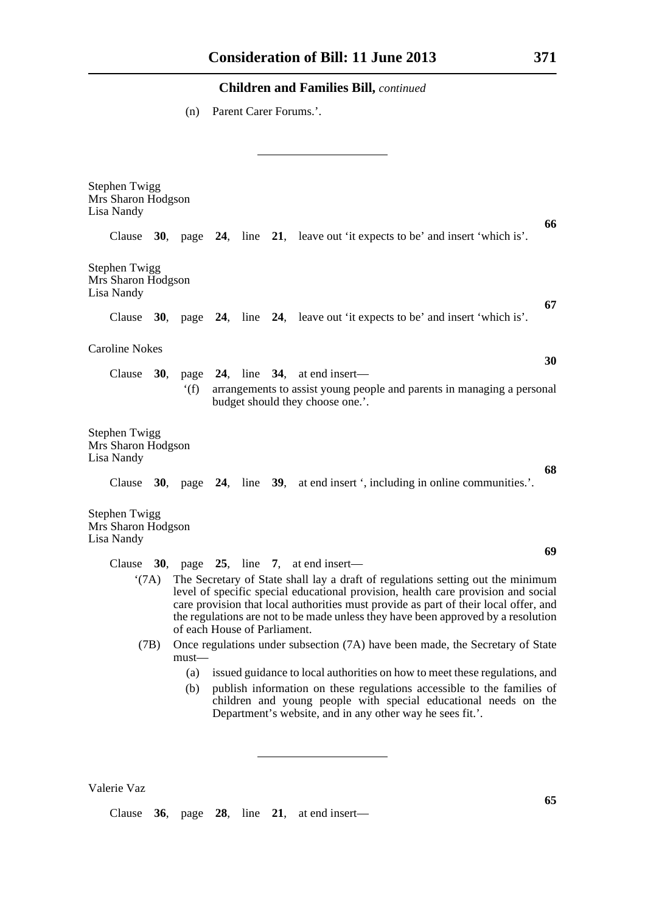(n) Parent Carer Forums.'.

| <b>Stephen Twigg</b><br>Mrs Sharon Hodgson<br>Lisa Nandy                                                                                                                                                                                                                                                                                                                                                                                                                                                                                             |  |      |  |  |  |                                                                                                            |  |
|------------------------------------------------------------------------------------------------------------------------------------------------------------------------------------------------------------------------------------------------------------------------------------------------------------------------------------------------------------------------------------------------------------------------------------------------------------------------------------------------------------------------------------------------------|--|------|--|--|--|------------------------------------------------------------------------------------------------------------|--|
|                                                                                                                                                                                                                                                                                                                                                                                                                                                                                                                                                      |  |      |  |  |  | 66<br>Clause 30, page 24, line 21, leave out 'it expects to be' and insert 'which is'.                     |  |
| <b>Stephen Twigg</b><br>Mrs Sharon Hodgson<br>Lisa Nandy                                                                                                                                                                                                                                                                                                                                                                                                                                                                                             |  |      |  |  |  | 67                                                                                                         |  |
|                                                                                                                                                                                                                                                                                                                                                                                                                                                                                                                                                      |  |      |  |  |  | Clause 30, page 24, line 24, leave out 'it expects to be' and insert 'which is'.                           |  |
| <b>Caroline Nokes</b>                                                                                                                                                                                                                                                                                                                                                                                                                                                                                                                                |  |      |  |  |  | 30                                                                                                         |  |
|                                                                                                                                                                                                                                                                                                                                                                                                                                                                                                                                                      |  |      |  |  |  | Clause 30, page 24, line 34, at end insert—                                                                |  |
|                                                                                                                                                                                                                                                                                                                                                                                                                                                                                                                                                      |  | f(f) |  |  |  | arrangements to assist young people and parents in managing a personal<br>budget should they choose one.'. |  |
| <b>Stephen Twigg</b><br>Mrs Sharon Hodgson<br>Lisa Nandy                                                                                                                                                                                                                                                                                                                                                                                                                                                                                             |  |      |  |  |  | 68                                                                                                         |  |
|                                                                                                                                                                                                                                                                                                                                                                                                                                                                                                                                                      |  |      |  |  |  | Clause 30, page 24, line 39, at end insert ', including in online communities.'.                           |  |
| <b>Stephen Twigg</b><br>Mrs Sharon Hodgson<br>Lisa Nandy                                                                                                                                                                                                                                                                                                                                                                                                                                                                                             |  |      |  |  |  |                                                                                                            |  |
|                                                                                                                                                                                                                                                                                                                                                                                                                                                                                                                                                      |  |      |  |  |  | 69                                                                                                         |  |
| Clause 30, page 25, line 7, at end insert—<br>The Secretary of State shall lay a draft of regulations setting out the minimum<br>$^{\circ}$ (7A)<br>level of specific special educational provision, health care provision and social<br>care provision that local authorities must provide as part of their local offer, and<br>the regulations are not to be made unless they have been approved by a resolution<br>of each House of Parliament.<br>Once regulations under subsection (7A) have been made, the Secretary of State<br>(7B)<br>must— |  |      |  |  |  |                                                                                                            |  |
|                                                                                                                                                                                                                                                                                                                                                                                                                                                                                                                                                      |  | (a)  |  |  |  | issued guidance to local authorities on how to meet these regulations, and                                 |  |
| publish information on these regulations accessible to the families of<br>(b)<br>children and young people with special educational needs on the<br>Department's website, and in any other way he sees fit.'.                                                                                                                                                                                                                                                                                                                                        |  |      |  |  |  |                                                                                                            |  |

Valerie Vaz

Clause **36**, page **28**, line **21**, at end insert—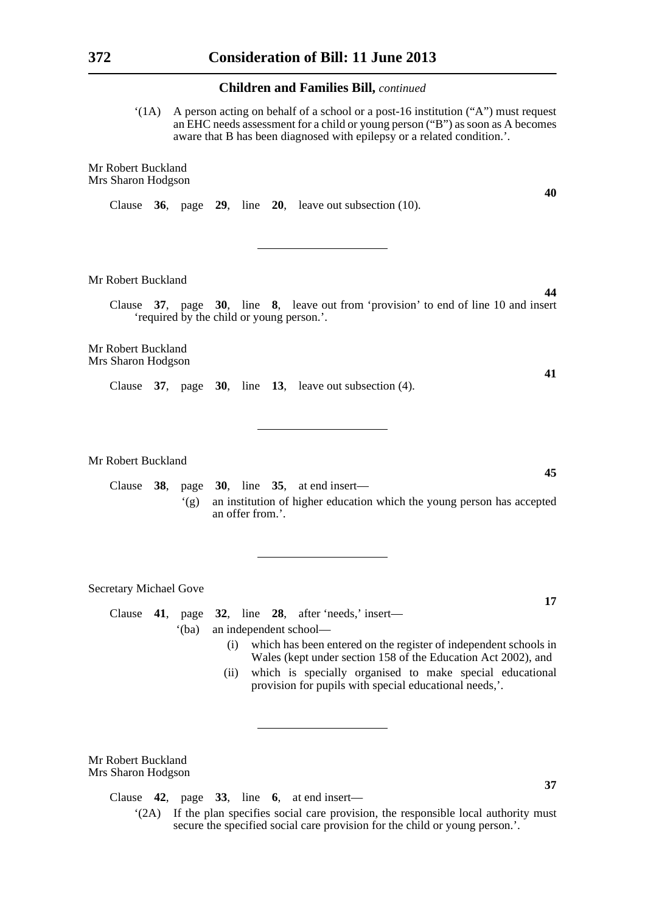$'(1A)$  A person acting on behalf of a school or a post-16 institution  $('A")$  must request an EHC needs assessment for a child or young person ("B") as soon as A becomes aware that B has been diagnosed with epilepsy or a related condition.'.

Mr Robert Buckland Mrs Sharon Hodgson

Clause **36**, page **29**, line **20**, leave out subsection (10).

Mr Robert Buckland

Clause **37**, page **30**, line **8**, leave out from 'provision' to end of line 10 and insert 'required by the child or young person.'.

Mr Robert Buckland Mrs Sharon Hodgson

Clause **37**, page **30**, line **13**, leave out subsection (4).

Mr Robert Buckland

Clause **38**, page **30**, line **35**, at end insert— '(g) an institution of higher education which the young person has accepted an offer from.'.

Secretary Michael Gove

Clause **41**, page **32**, line **28**, after 'needs,' insert—

'(ba) an independent school—

- (i) which has been entered on the register of independent schools in Wales (kept under section 158 of the Education Act 2002), and
- (ii) which is specially organised to make special educational provision for pupils with special educational needs,'.

Mr Robert Buckland Mrs Sharon Hodgson

Clause **42**, page **33**, line **6**, at end insert—

**40**

**44**

**41**

**45**

**17**

<sup>&#</sup>x27;(2A) If the plan specifies social care provision, the responsible local authority must secure the specified social care provision for the child or young person.'.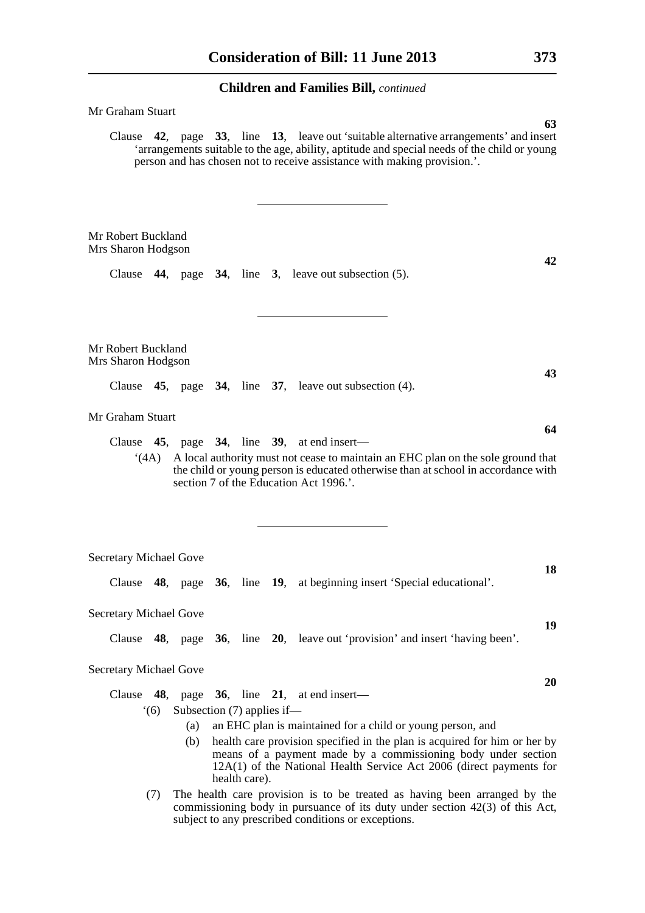| Mr Graham Stuart                         |                                                                                                                                                                                                                                                                                                                |  |
|------------------------------------------|----------------------------------------------------------------------------------------------------------------------------------------------------------------------------------------------------------------------------------------------------------------------------------------------------------------|--|
|                                          | 63<br>Clause 42, page 33, line 13, leave out 'suitable alternative arrangements' and insert<br>'arrangements suitable to the age, ability, aptitude and special needs of the child or young<br>person and has chosen not to receive assistance with making provision.'.                                        |  |
| Mr Robert Buckland<br>Mrs Sharon Hodgson | 42                                                                                                                                                                                                                                                                                                             |  |
|                                          | Clause $44$ , page $34$ , line 3, leave out subsection (5).                                                                                                                                                                                                                                                    |  |
| Mr Robert Buckland<br>Mrs Sharon Hodgson | 43                                                                                                                                                                                                                                                                                                             |  |
|                                          | Clause 45, page 34, line 37, leave out subsection (4).                                                                                                                                                                                                                                                         |  |
| Mr Graham Stuart                         | 64                                                                                                                                                                                                                                                                                                             |  |
| (4A)                                     | Clause $45$ , page $34$ , line $39$ , at end insert—<br>A local authority must not cease to maintain an EHC plan on the sole ground that<br>the child or young person is educated otherwise than at school in accordance with<br>section 7 of the Education Act 1996.'.                                        |  |
| Secretary Michael Gove                   |                                                                                                                                                                                                                                                                                                                |  |
|                                          | 18<br>Clause 48, page 36, line 19, at beginning insert 'Special educational'.                                                                                                                                                                                                                                  |  |
| Secretary Michael Gove                   |                                                                                                                                                                                                                                                                                                                |  |
|                                          | 19<br>Clause 48, page 36, line 20, leave out 'provision' and insert 'having been'.                                                                                                                                                                                                                             |  |
| Secretary Michael Gove                   |                                                                                                                                                                                                                                                                                                                |  |
|                                          | 20<br>Clause $48$ , page $36$ , line $21$ , at end insert—                                                                                                                                                                                                                                                     |  |
| (6)                                      | Subsection $(7)$ applies if—                                                                                                                                                                                                                                                                                   |  |
|                                          | an EHC plan is maintained for a child or young person, and<br>(a)<br>health care provision specified in the plan is acquired for him or her by<br>(b)<br>means of a payment made by a commissioning body under section<br>12A(1) of the National Health Service Act 2006 (direct payments for<br>health care). |  |
| (7)                                      | The health care provision is to be treated as having been arranged by the<br>commissioning body in pursuance of its duty under section 42(3) of this Act,<br>subject to any prescribed conditions or exceptions.                                                                                               |  |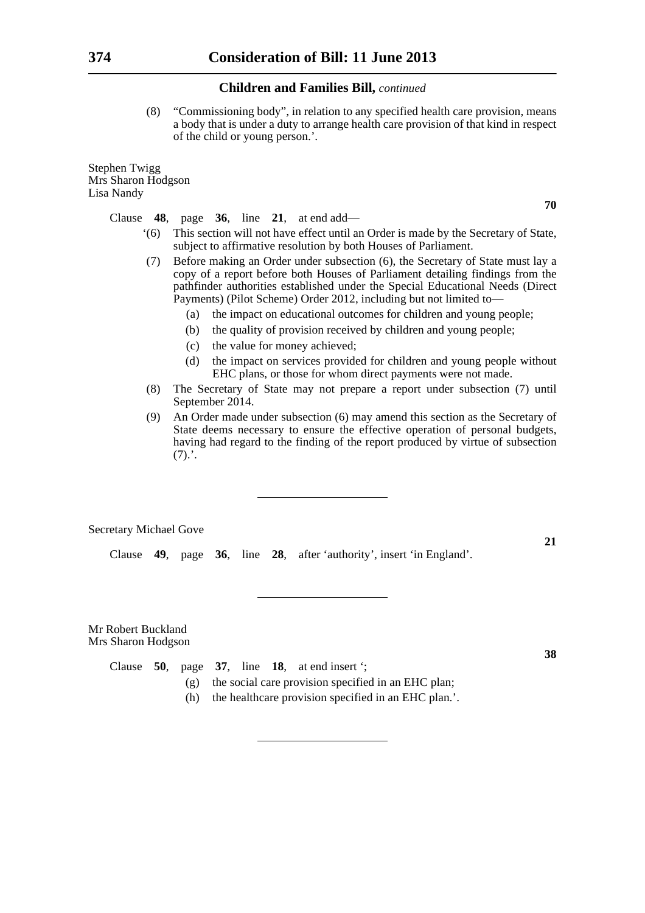(8) "Commissioning body", in relation to any specified health care provision, means a body that is under a duty to arrange health care provision of that kind in respect of the child or young person.'.

Stephen Twigg Mrs Sharon Hodgson Lisa Nandy

Clause **48**, page **36**, line **21**, at end add—

- '(6) This section will not have effect until an Order is made by the Secretary of State, subject to affirmative resolution by both Houses of Parliament.
- (7) Before making an Order under subsection (6), the Secretary of State must lay a copy of a report before both Houses of Parliament detailing findings from the pathfinder authorities established under the Special Educational Needs (Direct Payments) (Pilot Scheme) Order 2012, including but not limited to—
	- (a) the impact on educational outcomes for children and young people;
	- (b) the quality of provision received by children and young people;
	- (c) the value for money achieved;
	- (d) the impact on services provided for children and young people without EHC plans, or those for whom direct payments were not made.
- (8) The Secretary of State may not prepare a report under subsection (7) until September 2014.
- (9) An Order made under subsection (6) may amend this section as the Secretary of State deems necessary to ensure the effective operation of personal budgets, having had regard to the finding of the report produced by virtue of subsection  $(7).'.$

Secretary Michael Gove

Clause **49**, page **36**, line **28**, after 'authority', insert 'in England'.

Mr Robert Buckland Mrs Sharon Hodgson

|  |  |  | Clause 50, page 37, line 18, at end insert $\cdot$ ;    |
|--|--|--|---------------------------------------------------------|
|  |  |  | (g) the social care provision specified in an EHC plan; |

(h) the healthcare provision specified in an EHC plan.'.

**70**

**21**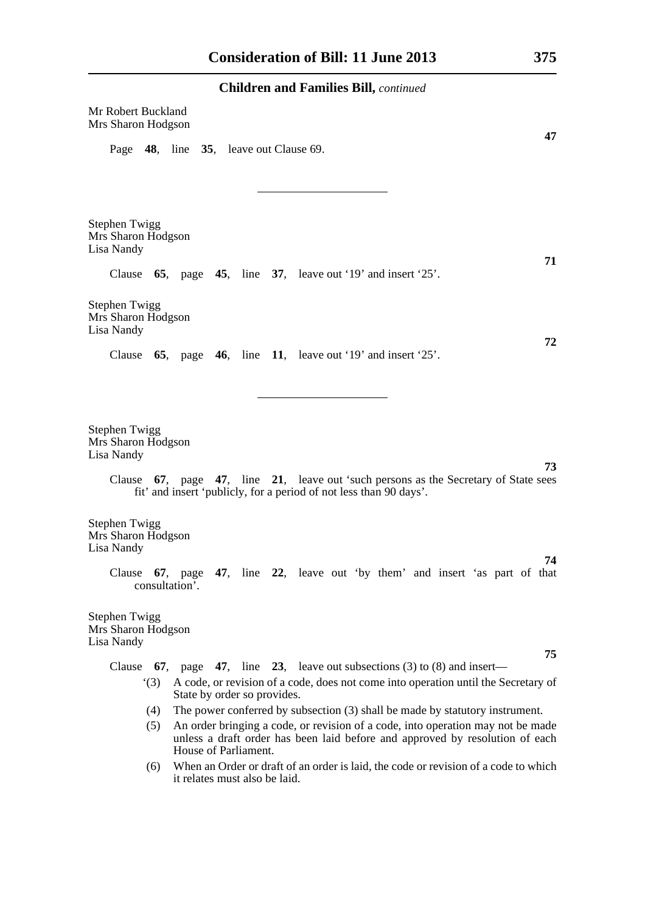| <b>Children and Families Bill, continued</b>                                                                                                                                                   |
|------------------------------------------------------------------------------------------------------------------------------------------------------------------------------------------------|
| Mr Robert Buckland<br>Mrs Sharon Hodgson<br>47                                                                                                                                                 |
| Page 48, line 35, leave out Clause 69.                                                                                                                                                         |
|                                                                                                                                                                                                |
| Stephen Twigg<br>Mrs Sharon Hodgson<br>Lisa Nandy<br>71                                                                                                                                        |
| Clause $65$ , page $45$ , line $37$ , leave out '19' and insert '25'.                                                                                                                          |
| Stephen Twigg<br>Mrs Sharon Hodgson<br>Lisa Nandy<br>72                                                                                                                                        |
| 65, page 46, line 11, leave out '19' and insert '25'.<br>Clause                                                                                                                                |
|                                                                                                                                                                                                |
| <b>Stephen Twigg</b><br>Mrs Sharon Hodgson<br>Lisa Nandy                                                                                                                                       |
| 73<br>Clause 67, page 47, line 21, leave out 'such persons as the Secretary of State sees<br>fit' and insert 'publicly, for a period of not less than 90 days'.                                |
| <b>Stephen Twigg</b><br>Mrs Sharon Hodgson<br>Lisa Nandy<br>74                                                                                                                                 |
| Clause 67, page 47, line 22, leave out 'by them' and insert 'as part of that<br>consultation'.                                                                                                 |
| <b>Stephen Twigg</b><br>Mrs Sharon Hodgson<br>Lisa Nandy                                                                                                                                       |
| 75<br>page 47, line 23, leave out subsections (3) to (8) and insert—<br>Clause $67$ ,                                                                                                          |
| A code, or revision of a code, does not come into operation until the Secretary of<br>(3)<br>State by order so provides.                                                                       |
| The power conferred by subsection (3) shall be made by statutory instrument.<br>(4)                                                                                                            |
| An order bringing a code, or revision of a code, into operation may not be made<br>(5)<br>unless a draft order has been laid before and approved by resolution of each<br>House of Parliament. |

(6) When an Order or draft of an order is laid, the code or revision of a code to which it relates must also be laid.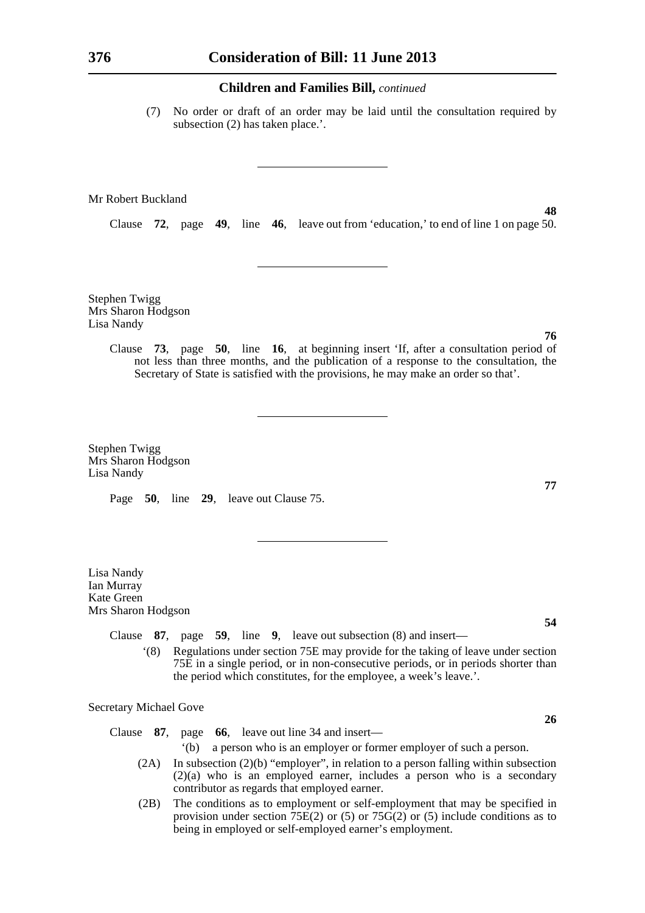(7) No order or draft of an order may be laid until the consultation required by subsection (2) has taken place.'.

#### Mr Robert Buckland

Clause **72**, page **49**, line **46**, leave out from 'education,' to end of line 1 on page 50.

Stephen Twigg Mrs Sharon Hodgson Lisa Nandy

> Clause **73**, page **50**, line **16**, at beginning insert 'If, after a consultation period of not less than three months, and the publication of a response to the consultation, the Secretary of State is satisfied with the provisions, he may make an order so that'.

Stephen Twigg Mrs Sharon Hodgson Lisa Nandy

Page **50**, line **29**, leave out Clause 75.

Lisa Nandy Ian Murray Kate Green Mrs Sharon Hodgson

Clause **87**, page **59**, line **9**, leave out subsection (8) and insert—

'(8) Regulations under section 75E may provide for the taking of leave under section 75E in a single period, or in non-consecutive periods, or in periods shorter than the period which constitutes, for the employee, a week's leave.'.

Secretary Michael Gove

Clause **87**, page **66**, leave out line 34 and insert—

- '(b) a person who is an employer or former employer of such a person.
- (2A) In subsection (2)(b) "employer", in relation to a person falling within subsection  $(2)(a)$  who is an employed earner, includes a person who is a secondary contributor as regards that employed earner.
- (2B) The conditions as to employment or self-employment that may be specified in provision under section  $75E(2)$  or (5) or  $75G(2)$  or (5) include conditions as to being in employed or self-employed earner's employment.

#### **76**

**48**

# **77**

**54**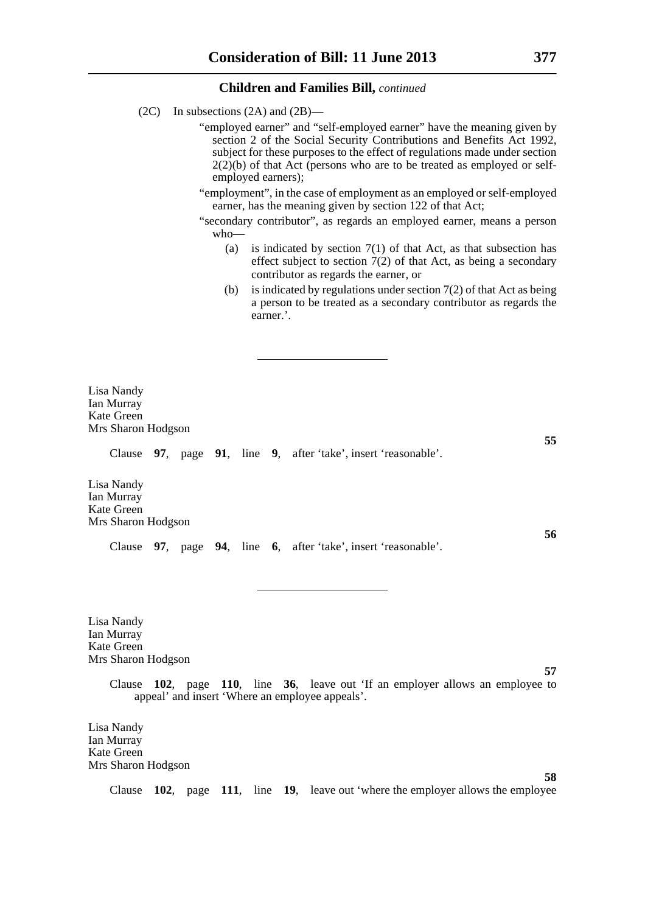- (2C) In subsections (2A) and (2B)—
	- "employed earner" and "self-employed earner" have the meaning given by section 2 of the Social Security Contributions and Benefits Act 1992, subject for these purposes to the effect of regulations made under section  $2(2)(b)$  of that Act (persons who are to be treated as employed or selfemployed earners);
	- "employment", in the case of employment as an employed or self-employed earner, has the meaning given by section 122 of that Act;
	- "secondary contributor", as regards an employed earner, means a person who—
		- (a) is indicated by section  $7(1)$  of that Act, as that subsection has effect subject to section 7(2) of that Act, as being a secondary contributor as regards the earner, or
		- (b) is indicated by regulations under section  $7(2)$  of that Act as being a person to be treated as a secondary contributor as regards the earner.'.

Lisa Nandy Ian Murray Kate Green Mrs Sharon Hodgson

Clause **97**, page **91**, line **9**, after 'take', insert 'reasonable'.

Lisa Nandy Ian Murray Kate Green Mrs Sharon Hodgson

Clause **97**, page **94**, line **6**, after 'take', insert 'reasonable'.

Lisa Nandy Ian Murray Kate Green Mrs Sharon Hodgson

> Clause **102**, page **110**, line **36**, leave out 'If an employer allows an employee to appeal' and insert 'Where an employee appeals'.

Lisa Nandy Ian Murray Kate Green Mrs Sharon Hodgson

Clause **102**, page **111**, line **19**, leave out 'where the employer allows the employee

**55**

**56**

**57**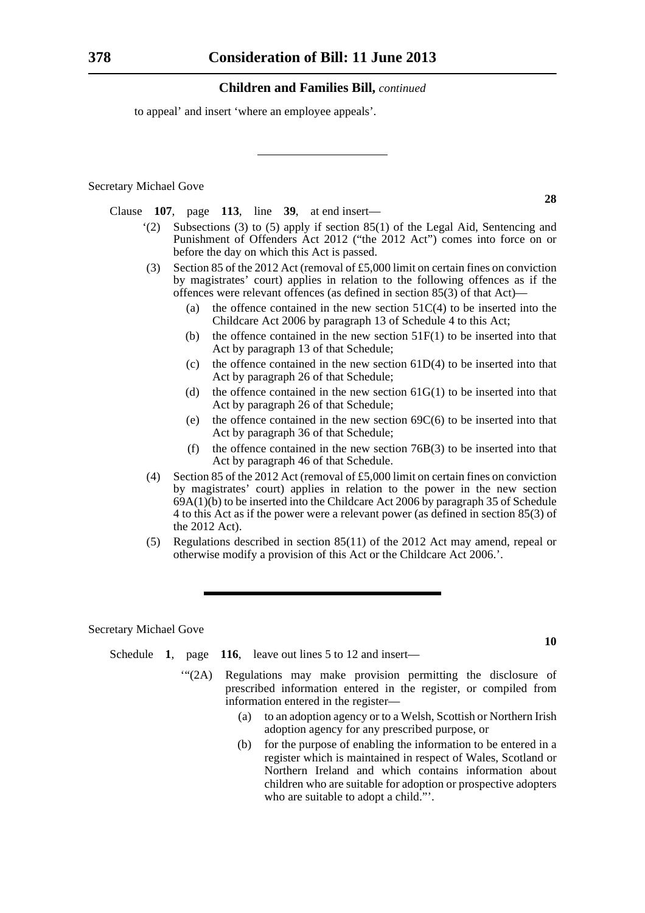to appeal' and insert 'where an employee appeals'.

Secretary Michael Gove

Clause **107**, page **113**, line **39**, at end insert—

- '(2) Subsections (3) to (5) apply if section 85(1) of the Legal Aid, Sentencing and Punishment of Offenders Act 2012 ("the 2012 Act") comes into force on or before the day on which this Act is passed.
- (3) Section 85 of the 2012 Act (removal of £5,000 limit on certain fines on conviction by magistrates' court) applies in relation to the following offences as if the offences were relevant offences (as defined in section 85(3) of that Act)—
	- (a) the offence contained in the new section  $51C(4)$  to be inserted into the Childcare Act 2006 by paragraph 13 of Schedule 4 to this Act;
	- (b) the offence contained in the new section  $51F(1)$  to be inserted into that Act by paragraph 13 of that Schedule;
	- (c) the offence contained in the new section  $61D(4)$  to be inserted into that Act by paragraph 26 of that Schedule;
	- (d) the offence contained in the new section  $61G(1)$  to be inserted into that Act by paragraph 26 of that Schedule;
	- (e) the offence contained in the new section  $69C(6)$  to be inserted into that Act by paragraph 36 of that Schedule;
	- (f) the offence contained in the new section  $76B(3)$  to be inserted into that Act by paragraph 46 of that Schedule.
- (4) Section 85 of the 2012 Act (removal of £5,000 limit on certain fines on conviction by magistrates' court) applies in relation to the power in the new section 69A(1)(b) to be inserted into the Childcare Act 2006 by paragraph 35 of Schedule 4 to this Act as if the power were a relevant power (as defined in section 85(3) of the 2012 Act).
- (5) Regulations described in section 85(11) of the 2012 Act may amend, repeal or otherwise modify a provision of this Act or the Childcare Act 2006.'.

Secretary Michael Gove

- Schedule **1**, page **116**, leave out lines 5 to 12 and insert—
	- '"(2A) Regulations may make provision permitting the disclosure of prescribed information entered in the register, or compiled from information entered in the register—
		- (a) to an adoption agency or to a Welsh, Scottish or Northern Irish adoption agency for any prescribed purpose, or
		- (b) for the purpose of enabling the information to be entered in a register which is maintained in respect of Wales, Scotland or Northern Ireland and which contains information about children who are suitable for adoption or prospective adopters who are suitable to adopt a child."'.

**28**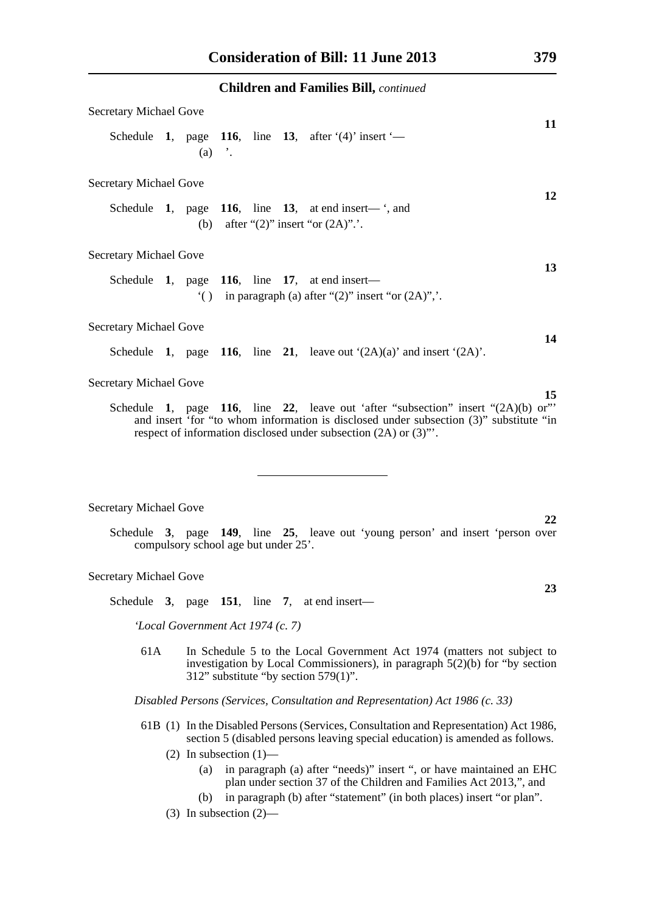| <b>Secretary Michael Gove</b>                                                                                                                                                                                                                    | 11 |
|--------------------------------------------------------------------------------------------------------------------------------------------------------------------------------------------------------------------------------------------------|----|
| Schedule 1, page 116, line 13, after $(4)$ insert $-$<br>$(a)$ '.                                                                                                                                                                                |    |
| <b>Secretary Michael Gove</b>                                                                                                                                                                                                                    |    |
| Schedule 1, page 116, line 13, at end insert— $\cdot$ , and<br>(b) after " $(2)$ " insert "or $(2A)$ "                                                                                                                                           | 12 |
| <b>Secretary Michael Gove</b>                                                                                                                                                                                                                    | 13 |
| Schedule 1, page 116, line 17, at end insert—<br>$'( )$ in paragraph (a) after "(2)" insert "or (2A)",'.                                                                                                                                         |    |
| <b>Secretary Michael Gove</b>                                                                                                                                                                                                                    |    |
| Schedule 1, page 116, line 21, leave out $(2A)(a)$ and insert $(2A)$ .                                                                                                                                                                           | 14 |
| <b>Secretary Michael Gove</b>                                                                                                                                                                                                                    |    |
| Schedule 1, page 116, line 22, leave out 'after "subsection" insert " $(2A)(b)$ or"<br>and insert 'for "to whom information is disclosed under subsection (3)" substitute "in<br>respect of information disclosed under subsection (2A) or (3)". | 15 |

#### Secretary Michael Gove

Schedule **3**, page **149**, line **25**, leave out 'young person' and insert 'person over compulsory school age but under 25'.

#### Secretary Michael Gove

Schedule **3**, page **151**, line **7**, at end insert—

*'Local Government Act 1974 (c. 7)*

61A In Schedule 5 to the Local Government Act 1974 (matters not subject to investigation by Local Commissioners), in paragraph 5(2)(b) for "by section 312" substitute "by section 579(1)".

*Disabled Persons (Services, Consultation and Representation) Act 1986 (c. 33)*

- 61B (1) In the Disabled Persons (Services, Consultation and Representation) Act 1986, section 5 (disabled persons leaving special education) is amended as follows.
	- (2) In subsection  $(1)$ 
		- (a) in paragraph (a) after "needs)" insert ", or have maintained an EHC plan under section 37 of the Children and Families Act 2013,", and
		- (b) in paragraph (b) after "statement" (in both places) insert "or plan".
	- (3) In subsection (2)—

**23**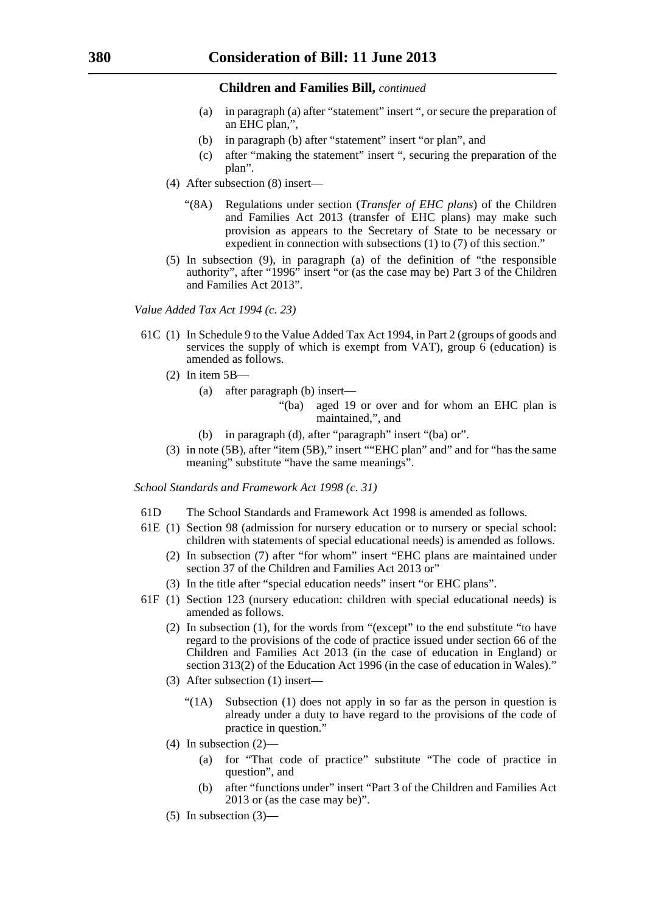- (a) in paragraph (a) after "statement" insert ", or secure the preparation of an EHC plan,",
- (b) in paragraph (b) after "statement" insert "or plan", and
- (c) after "making the statement" insert ", securing the preparation of the plan".
- (4) After subsection (8) insert—
	- "(8A) Regulations under section (*Transfer of EHC plans*) of the Children and Families Act 2013 (transfer of EHC plans) may make such provision as appears to the Secretary of State to be necessary or expedient in connection with subsections (1) to (7) of this section."
- (5) In subsection (9), in paragraph (a) of the definition of "the responsible authority", after "1996" insert "or (as the case may be) Part 3 of the Children and Families Act 2013".

*Value Added Tax Act 1994 (c. 23)*

- 61C (1) In Schedule 9 to the Value Added Tax Act 1994, in Part 2 (groups of goods and services the supply of which is exempt from VAT), group  $\vec{6}$  (education) is amended as follows.
	- $(2)$  In item  $5B$ 
		- (a) after paragraph (b) insert—
			- "(ba) aged 19 or over and for whom an EHC plan is maintained,", and
		- (b) in paragraph (d), after "paragraph" insert "(ba) or".
	- (3) in note (5B), after "item (5B)," insert ""EHC plan" and" and for "has the same meaning" substitute "have the same meanings".

*School Standards and Framework Act 1998 (c. 31)*

- 61D The School Standards and Framework Act 1998 is amended as follows.
- 61E (1) Section 98 (admission for nursery education or to nursery or special school: children with statements of special educational needs) is amended as follows.
	- (2) In subsection (7) after "for whom" insert "EHC plans are maintained under section 37 of the Children and Families Act 2013 or"
	- (3) In the title after "special education needs" insert "or EHC plans".
- 61F (1) Section 123 (nursery education: children with special educational needs) is amended as follows.
	- (2) In subsection (1), for the words from "(except" to the end substitute "to have regard to the provisions of the code of practice issued under section 66 of the Children and Families Act 2013 (in the case of education in England) or section 313(2) of the Education Act 1996 (in the case of education in Wales)."
	- (3) After subsection (1) insert—
		- "(1A) Subsection (1) does not apply in so far as the person in question is already under a duty to have regard to the provisions of the code of practice in question."
	- (4) In subsection (2)—
		- (a) for "That code of practice" substitute "The code of practice in question", and
		- (b) after "functions under" insert "Part 3 of the Children and Families Act 2013 or (as the case may be)".

 $(5)$  In subsection  $(3)$ —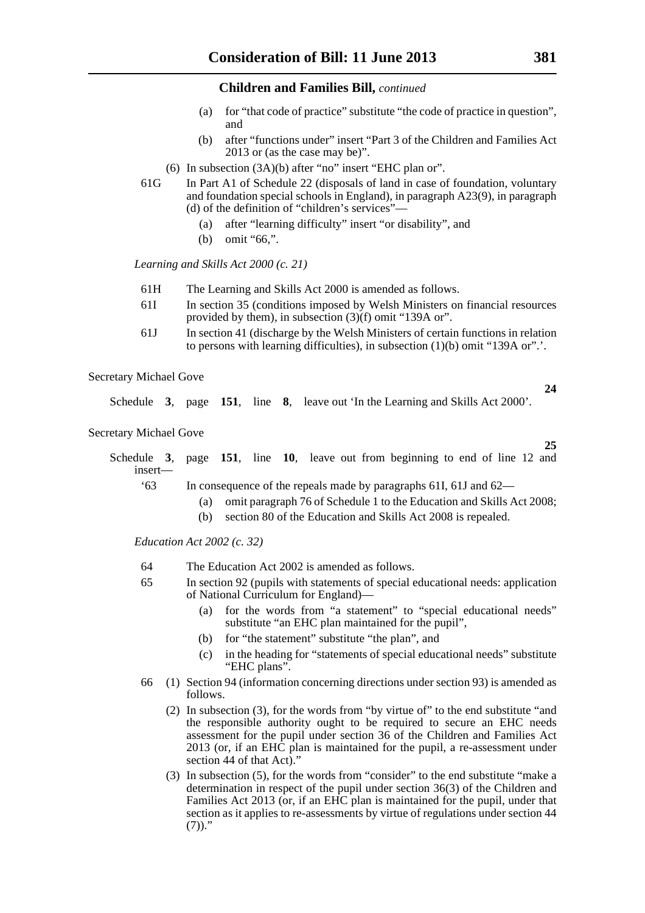- (a) for "that code of practice" substitute "the code of practice in question", and
- (b) after "functions under" insert "Part 3 of the Children and Families Act 2013 or (as the case may be)".
- (6) In subsection (3A)(b) after "no" insert "EHC plan or".
- 61G In Part A1 of Schedule 22 (disposals of land in case of foundation, voluntary and foundation special schools in England), in paragraph A23(9), in paragraph (d) of the definition of "children's services"—
	- (a) after "learning difficulty" insert "or disability", and
	- (b) omit "66,".

*Learning and Skills Act 2000 (c. 21)*

- 61H The Learning and Skills Act 2000 is amended as follows.
- 61I In section 35 (conditions imposed by Welsh Ministers on financial resources provided by them), in subsection (3)(f) omit "139A or".
- 61J In section 41 (discharge by the Welsh Ministers of certain functions in relation to persons with learning difficulties), in subsection (1)(b) omit "139A or".'.

Secretary Michael Gove

Schedule **3**, page **151**, line **8**, leave out 'In the Learning and Skills Act 2000'.

Secretary Michael Gove

**25** Schedule **3**, page **151**, line **10**, leave out from beginning to end of line 12 and insert— '63 In consequence of the repeals made by paragraphs 61I, 61J and 62—

- (a) omit paragraph 76 of Schedule 1 to the Education and Skills Act 2008;
- (b) section 80 of the Education and Skills Act 2008 is repealed.

*Education Act 2002 (c. 32)*

- 64 The Education Act 2002 is amended as follows.
- 65 In section 92 (pupils with statements of special educational needs: application of National Curriculum for England)—
	- (a) for the words from "a statement" to "special educational needs" substitute "an EHC plan maintained for the pupil",
	- (b) for "the statement" substitute "the plan", and
	- (c) in the heading for "statements of special educational needs" substitute "EHC plans".
- 66 (1) Section 94 (information concerning directions under section 93) is amended as follows.
	- (2) In subsection (3), for the words from "by virtue of" to the end substitute "and the responsible authority ought to be required to secure an EHC needs assessment for the pupil under section 36 of the Children and Families Act  $2013$  (or, if an EHC plan is maintained for the pupil, a re-assessment under section 44 of that Act)."
	- (3) In subsection (5), for the words from "consider" to the end substitute "make a determination in respect of the pupil under section 36(3) of the Children and Families Act 2013 (or, if an EHC plan is maintained for the pupil, under that section as it applies to re-assessments by virtue of regulations under section 44  $(7)$ )."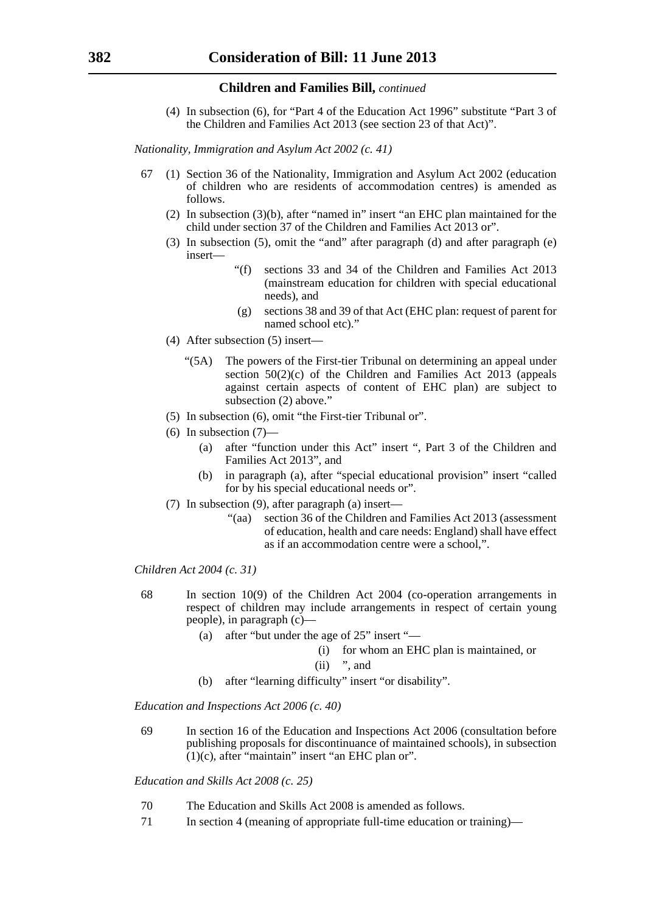(4) In subsection (6), for "Part 4 of the Education Act 1996" substitute "Part 3 of the Children and Families Act 2013 (see section 23 of that Act)".

*Nationality, Immigration and Asylum Act 2002 (c. 41)*

- 67 (1) Section 36 of the Nationality, Immigration and Asylum Act 2002 (education of children who are residents of accommodation centres) is amended as follows.
	- (2) In subsection (3)(b), after "named in" insert "an EHC plan maintained for the child under section 37 of the Children and Families Act 2013 or".
	- (3) In subsection (5), omit the "and" after paragraph (d) and after paragraph (e) insert—
		- "(f) sections 33 and 34 of the Children and Families Act 2013 (mainstream education for children with special educational needs), and
		- (g) sections 38 and 39 of that Act (EHC plan: request of parent for named school etc)."
	- (4) After subsection (5) insert—
		- "(5A) The powers of the First-tier Tribunal on determining an appeal under section  $50(2)(c)$  of the Children and Families Act  $20\overline{13}$  (appeals against certain aspects of content of EHC plan) are subject to subsection (2) above."
	- (5) In subsection (6), omit "the First-tier Tribunal or".
	- $(6)$  In subsection  $(7)$ 
		- (a) after "function under this Act" insert ", Part 3 of the Children and Families Act 2013", and
		- (b) in paragraph (a), after "special educational provision" insert "called for by his special educational needs or".
	- (7) In subsection (9), after paragraph (a) insert—
		- "(aa) section 36 of the Children and Families Act 2013 (assessment of education, health and care needs: England) shall have effect as if an accommodation centre were a school,".

*Children Act 2004 (c. 31)*

- 68 In section 10(9) of the Children Act 2004 (co-operation arrangements in respect of children may include arrangements in respect of certain young people), in paragraph (c)—
	- (a) after "but under the age of 25" insert "—
		- (i) for whom an EHC plan is maintained, or
		- $(ii)$  ", and
	- (b) after "learning difficulty" insert "or disability".

*Education and Inspections Act 2006 (c. 40)*

69 In section 16 of the Education and Inspections Act 2006 (consultation before publishing proposals for discontinuance of maintained schools), in subsection  $(1)(c)$ , after "maintain" insert "an EHC plan or".

*Education and Skills Act 2008 (c. 25)*

- 70 The Education and Skills Act 2008 is amended as follows.
- 71 In section 4 (meaning of appropriate full-time education or training)—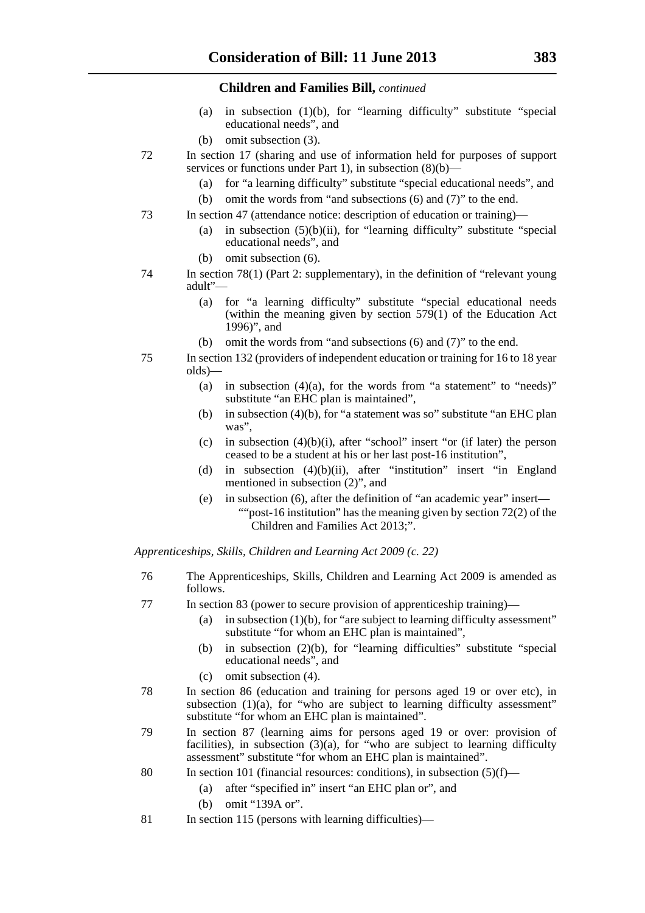- (a) in subsection (1)(b), for "learning difficulty" substitute "special educational needs", and
- (b) omit subsection (3).
- 72 In section 17 (sharing and use of information held for purposes of support services or functions under Part 1), in subsection (8)(b)-
	- (a) for "a learning difficulty" substitute "special educational needs", and
	- (b) omit the words from "and subsections (6) and (7)" to the end.
- 73 In section 47 (attendance notice: description of education or training)—
	- (a) in subsection  $(5)(b)(ii)$ , for "learning difficulty" substitute "special educational needs", and
	- (b) omit subsection (6).
- 74 In section 78(1) (Part 2: supplementary), in the definition of "relevant young adult"—
	- (a) for "a learning difficulty" substitute "special educational needs (within the meaning given by section  $579(1)$  of the Education Act 1996)", and
	- (b) omit the words from "and subsections (6) and (7)" to the end.
- 75 In section 132 (providers of independent education or training for 16 to 18 year olds)—
	- (a) in subsection  $(4)(a)$ , for the words from "a statement" to "needs)" substitute "an EHC plan is maintained",
	- (b) in subsection (4)(b), for "a statement was so" substitute "an EHC plan was".
	- (c) in subsection  $(4)(b)(i)$ , after "school" insert "or (if later) the person ceased to be a student at his or her last post-16 institution",
	- (d) in subsection (4)(b)(ii), after "institution" insert "in England mentioned in subsection (2)", and
	- (e) in subsection (6), after the definition of "an academic year" insert— ""post-16 institution" has the meaning given by section 72(2) of the Children and Families Act 2013;".

*Apprenticeships, Skills, Children and Learning Act 2009 (c. 22)*

- 76 The Apprenticeships, Skills, Children and Learning Act 2009 is amended as follows.
- 77 In section 83 (power to secure provision of apprenticeship training)—
	- (a) in subsection  $(1)(b)$ , for "are subject to learning difficulty assessment" substitute "for whom an EHC plan is maintained",
	- (b) in subsection (2)(b), for "learning difficulties" substitute "special educational needs", and
	- (c) omit subsection (4).
- 78 In section 86 (education and training for persons aged 19 or over etc), in subsection (1)(a), for "who are subject to learning difficulty assessment" substitute "for whom an EHC plan is maintained".
- 79 In section 87 (learning aims for persons aged 19 or over: provision of facilities), in subsection  $(3)(a)$ , for "who are subject to learning difficulty assessment" substitute "for whom an EHC plan is maintained".
- 80 In section 101 (financial resources: conditions), in subsection  $(5)(f)$ 
	- (a) after "specified in" insert "an EHC plan or", and
	- (b) omit "139A or".
- 81 In section 115 (persons with learning difficulties)—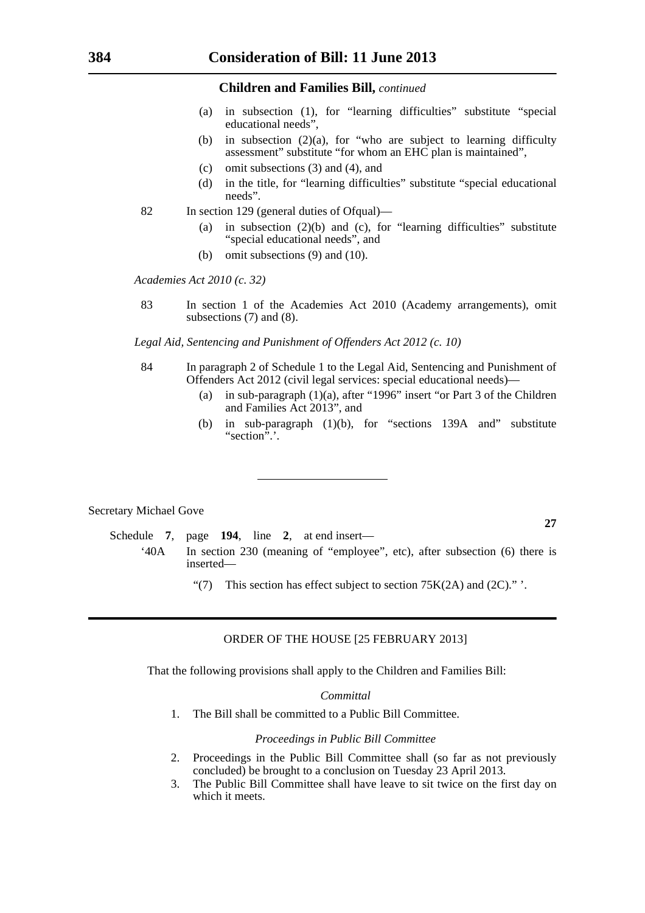- (a) in subsection (1), for "learning difficulties" substitute "special educational needs",
- (b) in subsection  $(2)(a)$ , for "who are subject to learning difficulty assessment" substitute "for whom an EHC plan is maintained",
- (c) omit subsections (3) and (4), and
- (d) in the title, for "learning difficulties" substitute "special educational needs".
- 82 In section 129 (general duties of Ofqual)—
	- (a) in subsection  $(2)(b)$  and  $(c)$ , for "learning difficulties" substitute "special educational needs", and
	- (b) omit subsections (9) and (10).

*Academies Act 2010 (c. 32)*

83 In section 1 of the Academies Act 2010 (Academy arrangements), omit subsections (7) and (8).

*Legal Aid, Sentencing and Punishment of Offenders Act 2012 (c. 10)*

- 84 In paragraph 2 of Schedule 1 to the Legal Aid, Sentencing and Punishment of Offenders Act 2012 (civil legal services: special educational needs)—
	- (a) in sub-paragraph (1)(a), after "1996" insert "or Part 3 of the Children and Families Act 2013", and
	- (b) in sub-paragraph (1)(b), for "sections 139A and" substitute "section".

#### Secretary Michael Gove

Schedule **7**, page **194**, line **2**, at end insert— '40A In section 230 (meaning of "employee", etc), after subsection (6) there is inserted—

"(7) This section has effect subject to section  $75K(2A)$  and  $(2C)$ ." '.

#### ORDER OF THE HOUSE [25 FEBRUARY 2013]

That the following provisions shall apply to the Children and Families Bill:

#### *Committal*

1. The Bill shall be committed to a Public Bill Committee.

#### *Proceedings in Public Bill Committee*

- 2. Proceedings in the Public Bill Committee shall (so far as not previously concluded) be brought to a conclusion on Tuesday 23 April 2013.
- 3. The Public Bill Committee shall have leave to sit twice on the first day on which it meets.